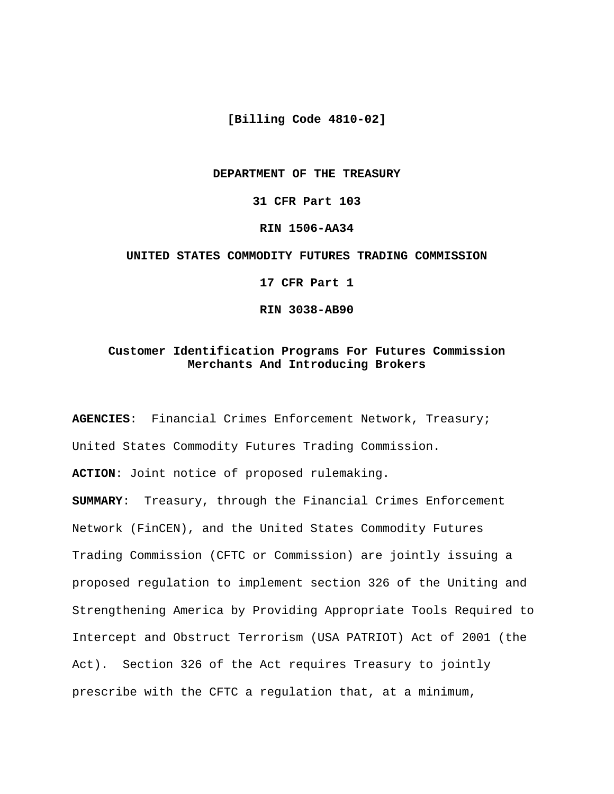**[Billing Code 4810-02]**

#### **DEPARTMENT OF THE TREASURY**

**31 CFR Part 103**

**RIN 1506-AA34**

#### **UNITED STATES COMMODITY FUTURES TRADING COMMISSION**

**17 CFR Part 1**

**RIN 3038-AB90**

## **Customer Identification Programs For Futures Commission Merchants And Introducing Brokers**

**AGENCIES**: Financial Crimes Enforcement Network, Treasury; United States Commodity Futures Trading Commission.

**ACTION**: Joint notice of proposed rulemaking.

**SUMMARY**: Treasury, through the Financial Crimes Enforcement Network (FinCEN), and the United States Commodity Futures Trading Commission (CFTC or Commission) are jointly issuing a proposed regulation to implement section 326 of the Uniting and Strengthening America by Providing Appropriate Tools Required to Intercept and Obstruct Terrorism (USA PATRIOT) Act of 2001 (the Act). Section 326 of the Act requires Treasury to jointly prescribe with the CFTC a regulation that, at a minimum,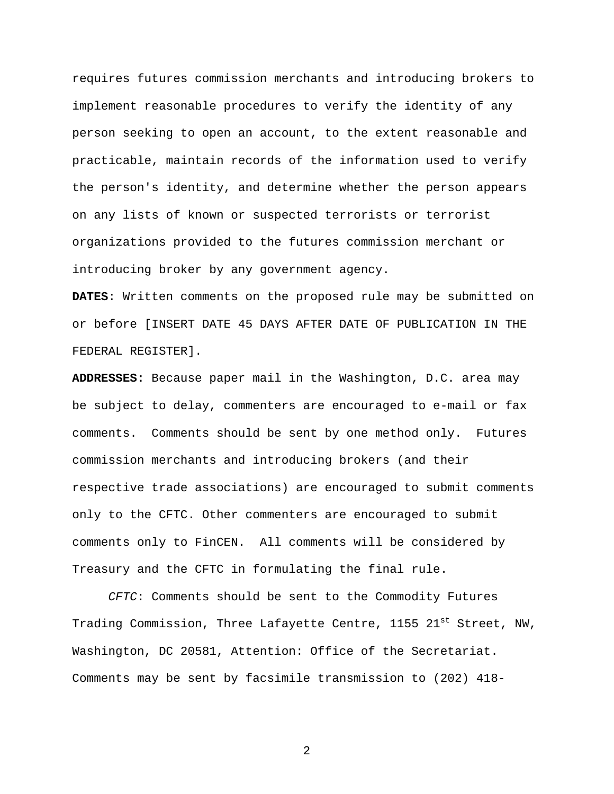requires futures commission merchants and introducing brokers to implement reasonable procedures to verify the identity of any person seeking to open an account, to the extent reasonable and practicable, maintain records of the information used to verify the person's identity, and determine whether the person appears on any lists of known or suspected terrorists or terrorist organizations provided to the futures commission merchant or introducing broker by any government agency.

**DATES**: Written comments on the proposed rule may be submitted on or before [INSERT DATE 45 DAYS AFTER DATE OF PUBLICATION IN THE FEDERAL REGISTER].

**ADDRESSES:** Because paper mail in the Washington, D.C. area may be subject to delay, commenters are encouraged to e-mail or fax comments. Comments should be sent by one method only. Futures commission merchants and introducing brokers (and their respective trade associations) are encouraged to submit comments only to the CFTC. Other commenters are encouraged to submit comments only to FinCEN. All comments will be considered by Treasury and the CFTC in formulating the final rule.

CFTC: Comments should be sent to the Commodity Futures Trading Commission, Three Lafayette Centre, 1155 21<sup>st</sup> Street, NW, Washington, DC 20581, Attention: Office of the Secretariat. Comments may be sent by facsimile transmission to (202) 418-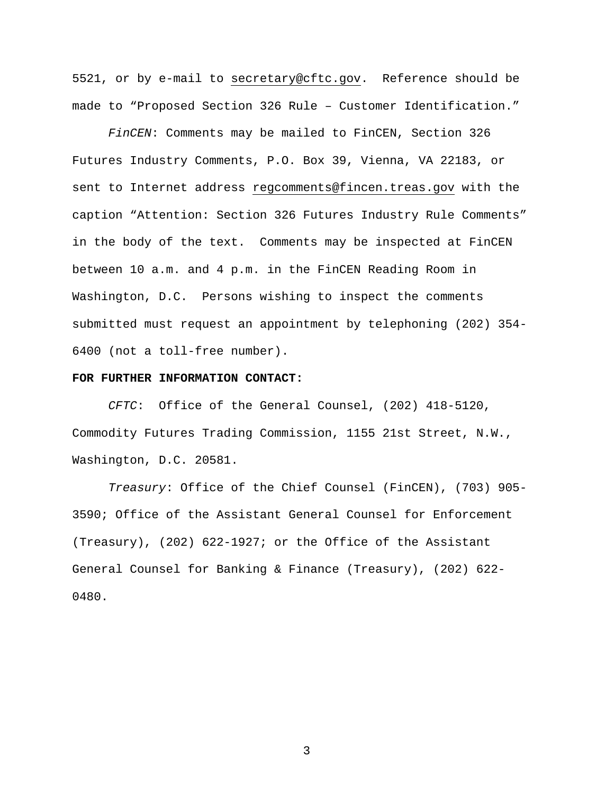5521, or by e-mail to secretary@cftc.gov. Reference should be made to "Proposed Section 326 Rule – Customer Identification."

FinCEN: Comments may be mailed to FinCEN, Section 326 Futures Industry Comments, P.O. Box 39, Vienna, VA 22183, or sent to Internet address regcomments@fincen.treas.gov with the caption "Attention: Section 326 Futures Industry Rule Comments" in the body of the text. Comments may be inspected at FinCEN between 10 a.m. and 4 p.m. in the FinCEN Reading Room in Washington, D.C. Persons wishing to inspect the comments submitted must request an appointment by telephoning (202) 354- 6400 (not a toll-free number).

#### **FOR FURTHER INFORMATION CONTACT:**

CFTC: Office of the General Counsel, (202) 418-5120, Commodity Futures Trading Commission, 1155 21st Street, N.W., Washington, D.C. 20581.

Treasury: Office of the Chief Counsel (FinCEN), (703) 905- 3590; Office of the Assistant General Counsel for Enforcement (Treasury), (202) 622-1927; or the Office of the Assistant General Counsel for Banking & Finance (Treasury), (202) 622- 0480.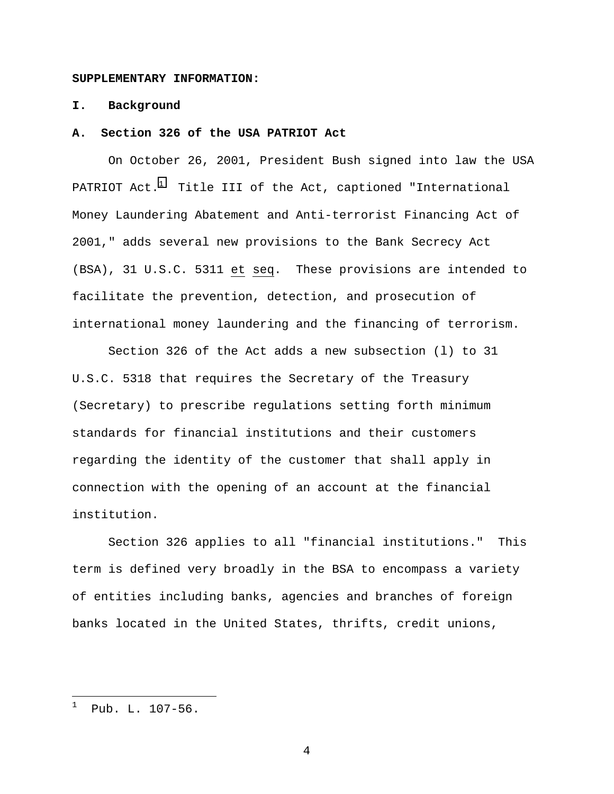#### **SUPPLEMENTARY INFORMATION:**

## **I. Background**

#### **A. Section 326 of the USA PATRIOT Act**

On October 26, 2001, President Bush signed into law the USA PATRIOT  $Act.^1$  Title III of the Act, captioned "International Money Laundering Abatement and Anti-terrorist Financing Act of 2001," adds several new provisions to the Bank Secrecy Act (BSA), 31 U.S.C. 5311 et seq. These provisions are intended to facilitate the prevention, detection, and prosecution of international money laundering and the financing of terrorism.

Section 326 of the Act adds a new subsection (l) to 31 U.S.C. 5318 that requires the Secretary of the Treasury (Secretary) to prescribe regulations setting forth minimum standards for financial institutions and their customers regarding the identity of the customer that shall apply in connection with the opening of an account at the financial institution.

Section 326 applies to all "financial institutions." This term is defined very broadly in the BSA to encompass a variety of entities including banks, agencies and branches of foreign banks located in the United States, thrifts, credit unions,

l

<sup>1</sup> Pub. L. 107-56.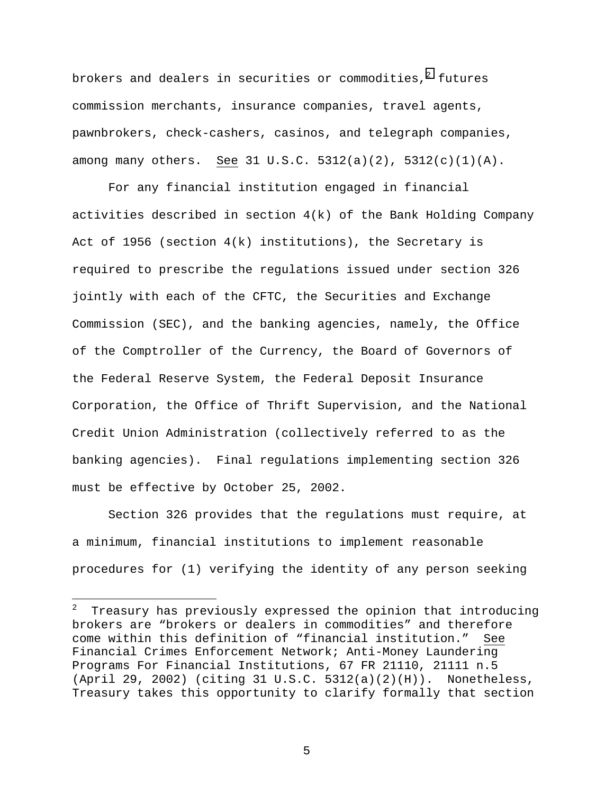brokers and dealers in securities or commodities, $^{\text{2}}$  futures commission merchants, insurance companies, travel agents, pawnbrokers, check-cashers, casinos, and telegraph companies, among many others. See 31 U.S.C. 5312(a)(2), 5312(c)(1)(A).

For any financial institution engaged in financial activities described in section 4(k) of the Bank Holding Company Act of 1956 (section 4(k) institutions), the Secretary is required to prescribe the regulations issued under section 326 jointly with each of the CFTC, the Securities and Exchange Commission (SEC), and the banking agencies, namely, the Office of the Comptroller of the Currency, the Board of Governors of the Federal Reserve System, the Federal Deposit Insurance Corporation, the Office of Thrift Supervision, and the National Credit Union Administration (collectively referred to as the banking agencies). Final regulations implementing section 326 must be effective by October 25, 2002.

Section 326 provides that the regulations must require, at a minimum, financial institutions to implement reasonable procedures for (1) verifying the identity of any person seeking

l

<sup>2</sup> Treasury has previously expressed the opinion that introducing brokers are "brokers or dealers in commodities" and therefore come within this definition of "financial institution." See Financial Crimes Enforcement Network; Anti-Money Laundering Programs For Financial Institutions, 67 FR 21110, 21111 n.5  $(April 29, 2002)$  (citing 31 U.S.C.  $5312(a)(2)(H)$ ). Nonetheless, Treasury takes this opportunity to clarify formally that section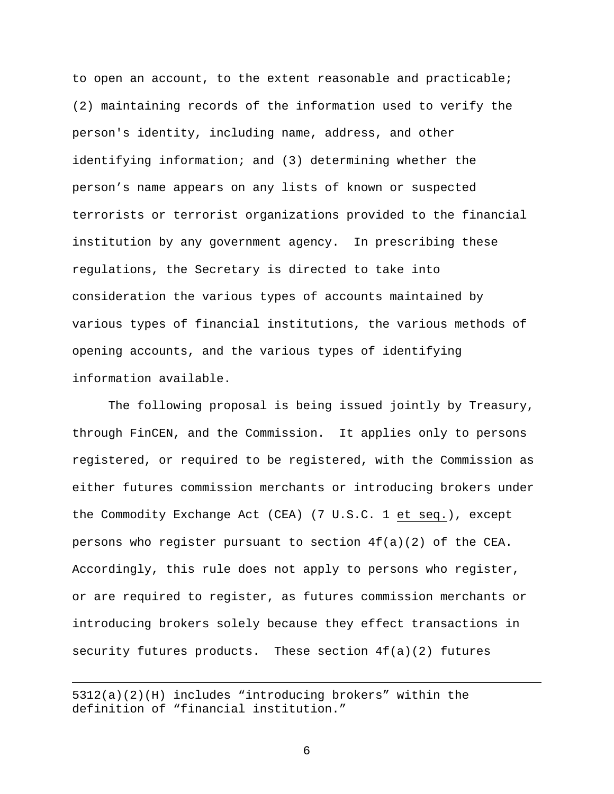to open an account, to the extent reasonable and practicable; (2) maintaining records of the information used to verify the person's identity, including name, address, and other identifying information; and (3) determining whether the person's name appears on any lists of known or suspected terrorists or terrorist organizations provided to the financial institution by any government agency. In prescribing these regulations, the Secretary is directed to take into consideration the various types of accounts maintained by various types of financial institutions, the various methods of opening accounts, and the various types of identifying information available.

The following proposal is being issued jointly by Treasury, through FinCEN, and the Commission. It applies only to persons registered, or required to be registered, with the Commission as either futures commission merchants or introducing brokers under the Commodity Exchange Act (CEA) (7 U.S.C. 1 et seq.), except persons who register pursuant to section  $4f(a)(2)$  of the CEA. Accordingly, this rule does not apply to persons who register, or are required to register, as futures commission merchants or introducing brokers solely because they effect transactions in security futures products. These section 4f(a)(2) futures

 $\overline{a}$ 

<sup>5312(</sup>a)(2)(H) includes "introducing brokers" within the definition of "financial institution."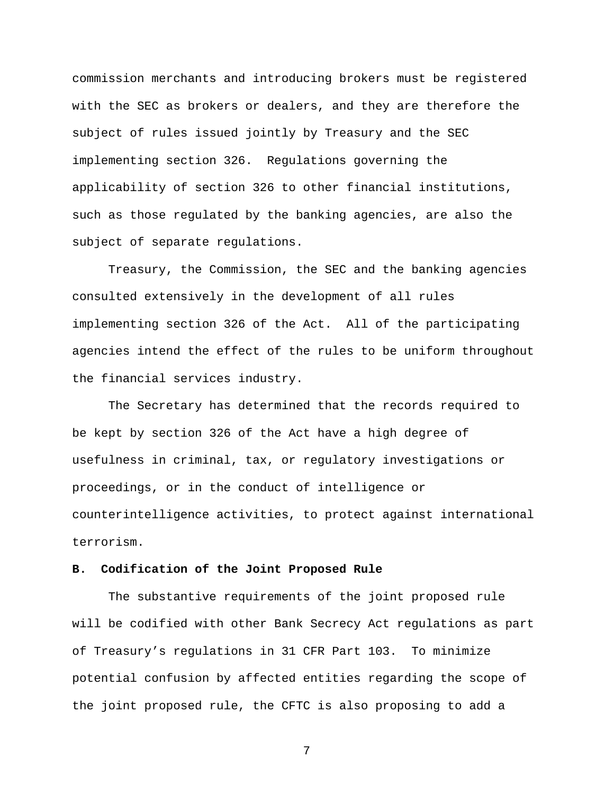commission merchants and introducing brokers must be registered with the SEC as brokers or dealers, and they are therefore the subject of rules issued jointly by Treasury and the SEC implementing section 326. Regulations governing the applicability of section 326 to other financial institutions, such as those regulated by the banking agencies, are also the subject of separate regulations.

Treasury, the Commission, the SEC and the banking agencies consulted extensively in the development of all rules implementing section 326 of the Act. All of the participating agencies intend the effect of the rules to be uniform throughout the financial services industry.

The Secretary has determined that the records required to be kept by section 326 of the Act have a high degree of usefulness in criminal, tax, or regulatory investigations or proceedings, or in the conduct of intelligence or counterintelligence activities, to protect against international terrorism.

## **B. Codification of the Joint Proposed Rule**

The substantive requirements of the joint proposed rule will be codified with other Bank Secrecy Act regulations as part of Treasury's regulations in 31 CFR Part 103. To minimize potential confusion by affected entities regarding the scope of the joint proposed rule, the CFTC is also proposing to add a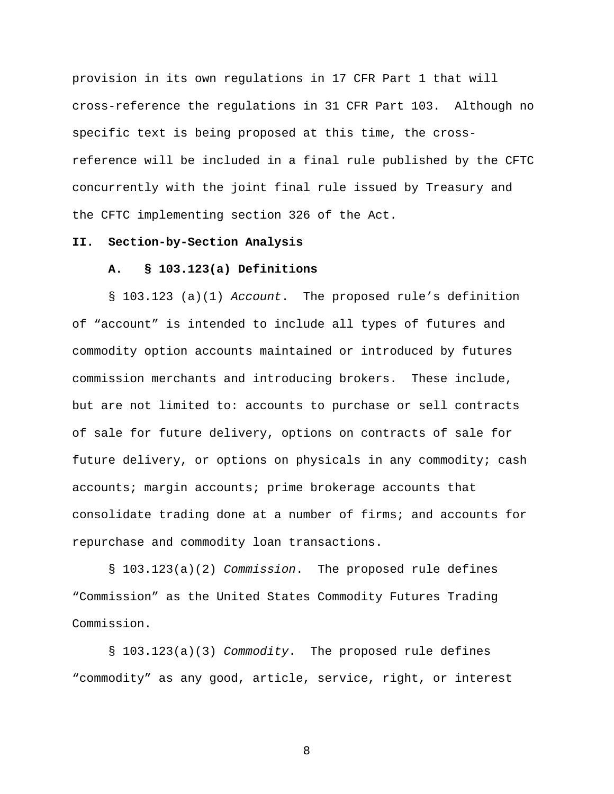provision in its own regulations in 17 CFR Part 1 that will cross-reference the regulations in 31 CFR Part 103. Although no specific text is being proposed at this time, the crossreference will be included in a final rule published by the CFTC concurrently with the joint final rule issued by Treasury and the CFTC implementing section 326 of the Act.

## **II. Section-by-Section Analysis**

#### **A. § 103.123(a) Definitions**

§ 103.123 (a)(1) Account. The proposed rule's definition of "account" is intended to include all types of futures and commodity option accounts maintained or introduced by futures commission merchants and introducing brokers. These include, but are not limited to: accounts to purchase or sell contracts of sale for future delivery, options on contracts of sale for future delivery, or options on physicals in any commodity; cash accounts; margin accounts; prime brokerage accounts that consolidate trading done at a number of firms; and accounts for repurchase and commodity loan transactions.

§ 103.123(a)(2) Commission. The proposed rule defines "Commission" as the United States Commodity Futures Trading Commission.

§ 103.123(a)(3) Commodity. The proposed rule defines "commodity" as any good, article, service, right, or interest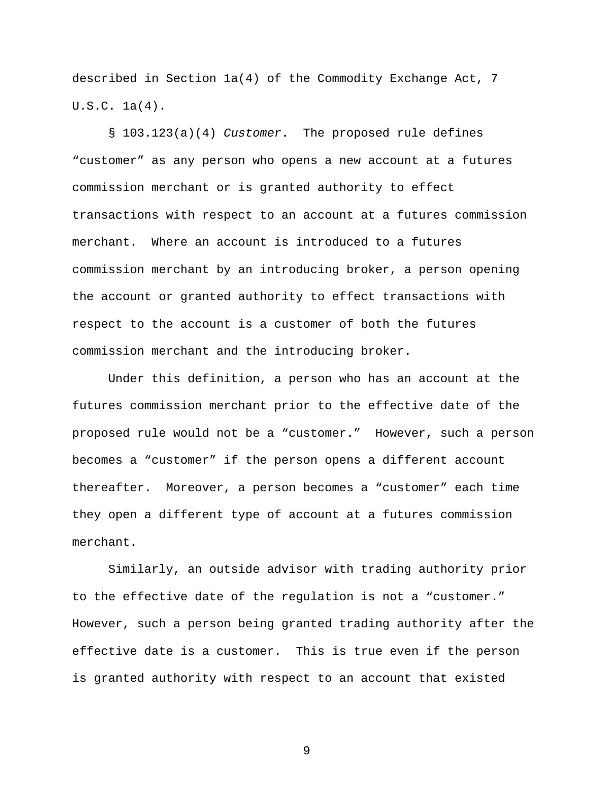described in Section 1a(4) of the Commodity Exchange Act, 7 U.S.C. 1a(4).

§ 103.123(a)(4) Customer. The proposed rule defines "customer" as any person who opens a new account at a futures commission merchant or is granted authority to effect transactions with respect to an account at a futures commission merchant. Where an account is introduced to a futures commission merchant by an introducing broker, a person opening the account or granted authority to effect transactions with respect to the account is a customer of both the futures commission merchant and the introducing broker.

Under this definition, a person who has an account at the futures commission merchant prior to the effective date of the proposed rule would not be a "customer." However, such a person becomes a "customer" if the person opens a different account thereafter. Moreover, a person becomes a "customer" each time they open a different type of account at a futures commission merchant.

Similarly, an outside advisor with trading authority prior to the effective date of the regulation is not a "customer." However, such a person being granted trading authority after the effective date is a customer. This is true even if the person is granted authority with respect to an account that existed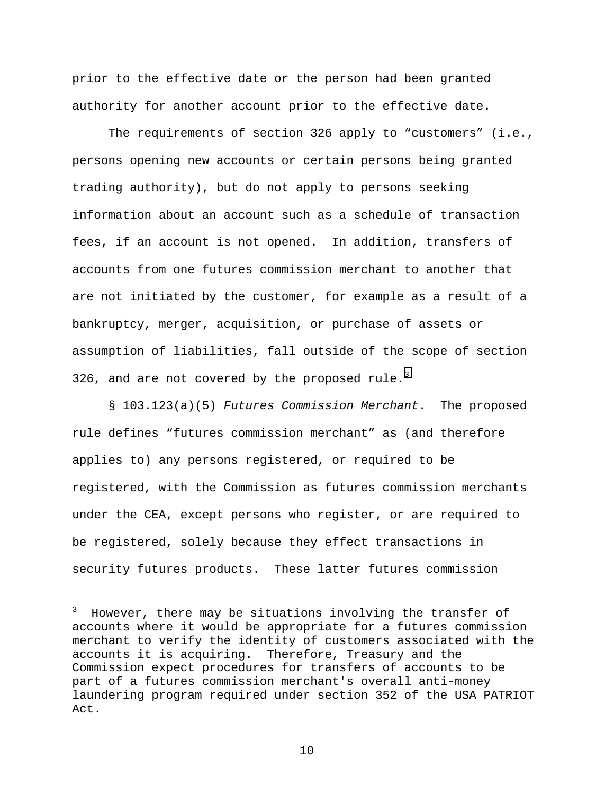prior to the effective date or the person had been granted authority for another account prior to the effective date.

The requirements of section 326 apply to "customers" (i.e., persons opening new accounts or certain persons being granted trading authority), but do not apply to persons seeking information about an account such as a schedule of transaction fees, if an account is not opened. In addition, transfers of accounts from one futures commission merchant to another that are not initiated by the customer, for example as a result of a bankruptcy, merger, acquisition, or purchase of assets or assumption of liabilities, fall outside of the scope of section 326, and are not covered by the proposed rule.<sup>3</sup>

§ 103.123(a)(5) Futures Commission Merchant. The proposed rule defines "futures commission merchant" as (and therefore applies to) any persons registered, or required to be registered, with the Commission as futures commission merchants under the CEA, except persons who register, or are required to be registered, solely because they effect transactions in security futures products. These latter futures commission

l

<sup>3</sup> However, there may be situations involving the transfer of accounts where it would be appropriate for a futures commission merchant to verify the identity of customers associated with the accounts it is acquiring. Therefore, Treasury and the Commission expect procedures for transfers of accounts to be part of a futures commission merchant's overall anti-money laundering program required under section 352 of the USA PATRIOT Act.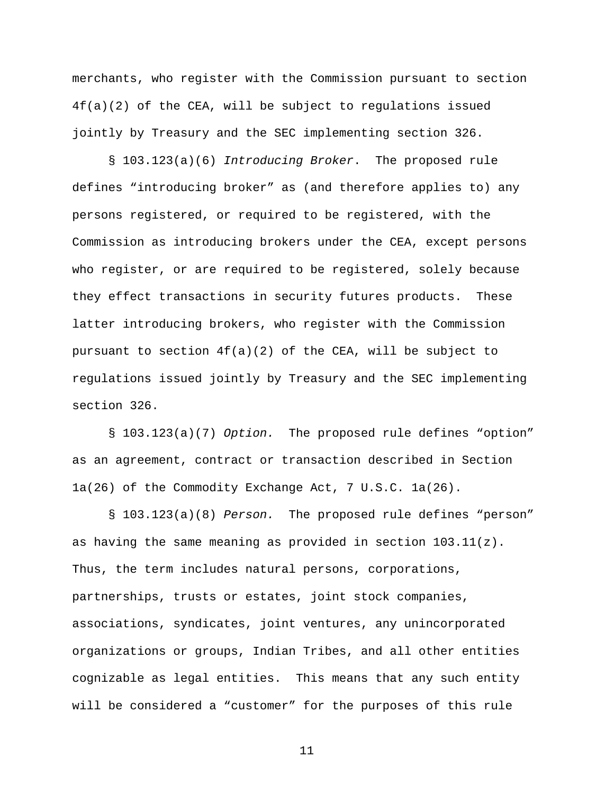merchants, who register with the Commission pursuant to section 4f(a)(2) of the CEA, will be subject to regulations issued jointly by Treasury and the SEC implementing section 326.

§ 103.123(a)(6) Introducing Broker. The proposed rule defines "introducing broker" as (and therefore applies to) any persons registered, or required to be registered, with the Commission as introducing brokers under the CEA, except persons who register, or are required to be registered, solely because they effect transactions in security futures products. These latter introducing brokers, who register with the Commission pursuant to section  $4f(a)(2)$  of the CEA, will be subject to regulations issued jointly by Treasury and the SEC implementing section 326.

§ 103.123(a)(7) Option. The proposed rule defines "option" as an agreement, contract or transaction described in Section 1a(26) of the Commodity Exchange Act, 7 U.S.C. 1a(26).

§ 103.123(a)(8) Person. The proposed rule defines "person" as having the same meaning as provided in section  $103.11(z)$ . Thus, the term includes natural persons, corporations, partnerships, trusts or estates, joint stock companies, associations, syndicates, joint ventures, any unincorporated organizations or groups, Indian Tribes, and all other entities cognizable as legal entities. This means that any such entity will be considered a "customer" for the purposes of this rule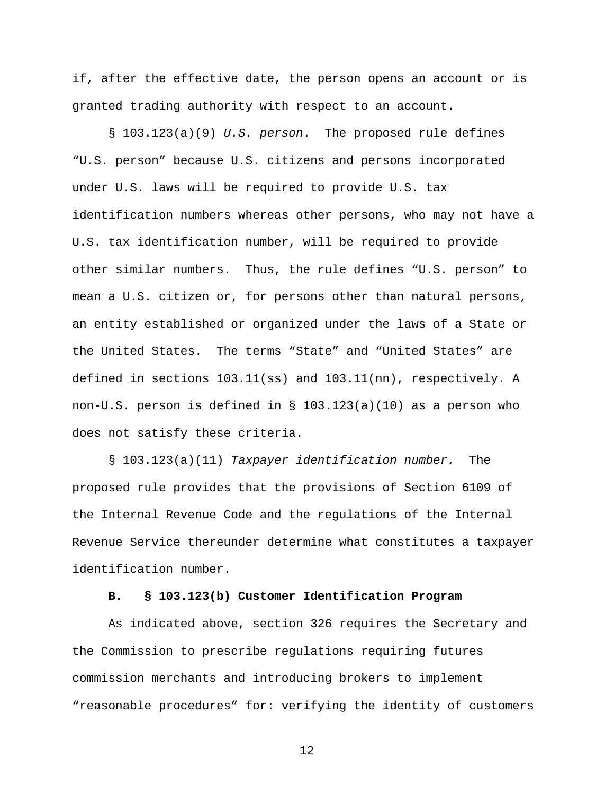if, after the effective date, the person opens an account or is granted trading authority with respect to an account.

§ 103.123(a)(9) U.S. person. The proposed rule defines "U.S. person" because U.S. citizens and persons incorporated under U.S. laws will be required to provide U.S. tax identification numbers whereas other persons, who may not have a U.S. tax identification number, will be required to provide other similar numbers. Thus, the rule defines "U.S. person" to mean a U.S. citizen or, for persons other than natural persons, an entity established or organized under the laws of a State or the United States. The terms "State" and "United States" are defined in sections 103.11(ss) and 103.11(nn), respectively. A non-U.S. person is defined in § 103.123(a)(10) as a person who does not satisfy these criteria.

§ 103.123(a)(11) Taxpayer identification number. The proposed rule provides that the provisions of Section 6109 of the Internal Revenue Code and the regulations of the Internal Revenue Service thereunder determine what constitutes a taxpayer identification number.

## **B. § 103.123(b) Customer Identification Program**

As indicated above, section 326 requires the Secretary and the Commission to prescribe regulations requiring futures commission merchants and introducing brokers to implement "reasonable procedures" for: verifying the identity of customers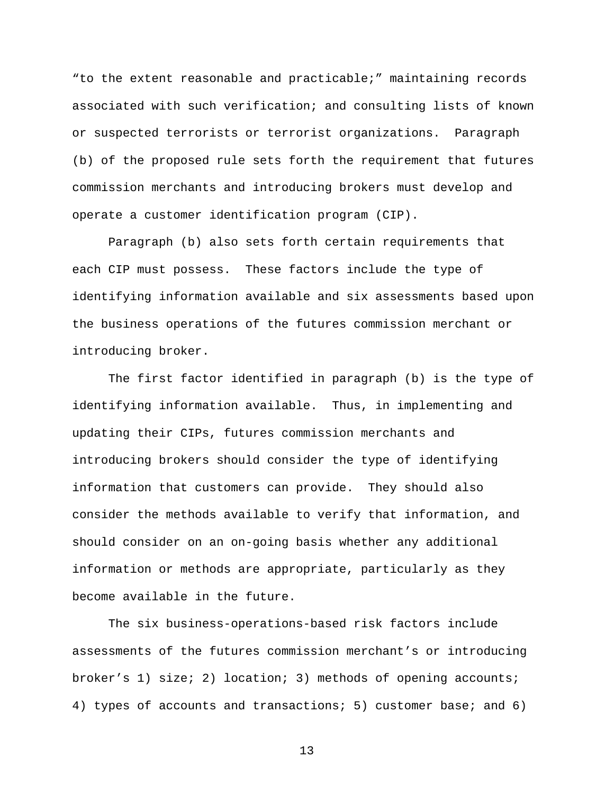"to the extent reasonable and practicable;" maintaining records associated with such verification; and consulting lists of known or suspected terrorists or terrorist organizations. Paragraph (b) of the proposed rule sets forth the requirement that futures commission merchants and introducing brokers must develop and operate a customer identification program (CIP).

Paragraph (b) also sets forth certain requirements that each CIP must possess. These factors include the type of identifying information available and six assessments based upon the business operations of the futures commission merchant or introducing broker.

The first factor identified in paragraph (b) is the type of identifying information available. Thus, in implementing and updating their CIPs, futures commission merchants and introducing brokers should consider the type of identifying information that customers can provide. They should also consider the methods available to verify that information, and should consider on an on-going basis whether any additional information or methods are appropriate, particularly as they become available in the future.

The six business-operations-based risk factors include assessments of the futures commission merchant's or introducing broker's 1) size; 2) location; 3) methods of opening accounts; 4) types of accounts and transactions; 5) customer base; and 6)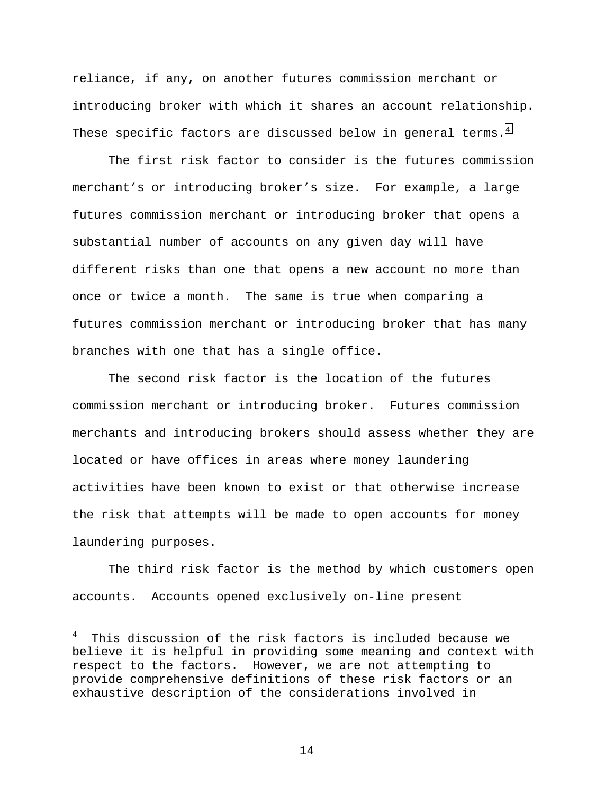reliance, if any, on another futures commission merchant or introducing broker with which it shares an account relationship. These specific factors are discussed below in general terms.<sup>4</sup>

The first risk factor to consider is the futures commission merchant's or introducing broker's size. For example, a large futures commission merchant or introducing broker that opens a substantial number of accounts on any given day will have different risks than one that opens a new account no more than once or twice a month. The same is true when comparing a futures commission merchant or introducing broker that has many branches with one that has a single office.

The second risk factor is the location of the futures commission merchant or introducing broker. Futures commission merchants and introducing brokers should assess whether they are located or have offices in areas where money laundering activities have been known to exist or that otherwise increase the risk that attempts will be made to open accounts for money laundering purposes.

The third risk factor is the method by which customers open accounts. Accounts opened exclusively on-line present

 $\overline{a}$ 

<sup>4</sup> This discussion of the risk factors is included because we believe it is helpful in providing some meaning and context with respect to the factors. However, we are not attempting to provide comprehensive definitions of these risk factors or an exhaustive description of the considerations involved in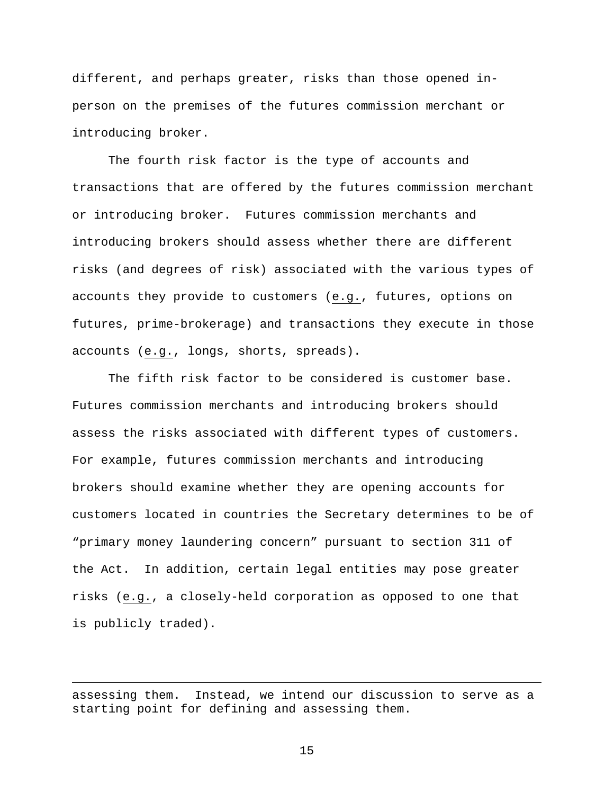different, and perhaps greater, risks than those opened inperson on the premises of the futures commission merchant or introducing broker.

The fourth risk factor is the type of accounts and transactions that are offered by the futures commission merchant or introducing broker. Futures commission merchants and introducing brokers should assess whether there are different risks (and degrees of risk) associated with the various types of accounts they provide to customers (e.g., futures, options on futures, prime-brokerage) and transactions they execute in those accounts (e.g., longs, shorts, spreads).

The fifth risk factor to be considered is customer base. Futures commission merchants and introducing brokers should assess the risks associated with different types of customers. For example, futures commission merchants and introducing brokers should examine whether they are opening accounts for customers located in countries the Secretary determines to be of "primary money laundering concern" pursuant to section 311 of the Act. In addition, certain legal entities may pose greater risks (e.g., a closely-held corporation as opposed to one that is publicly traded).

 $\overline{a}$ 

assessing them. Instead, we intend our discussion to serve as a starting point for defining and assessing them.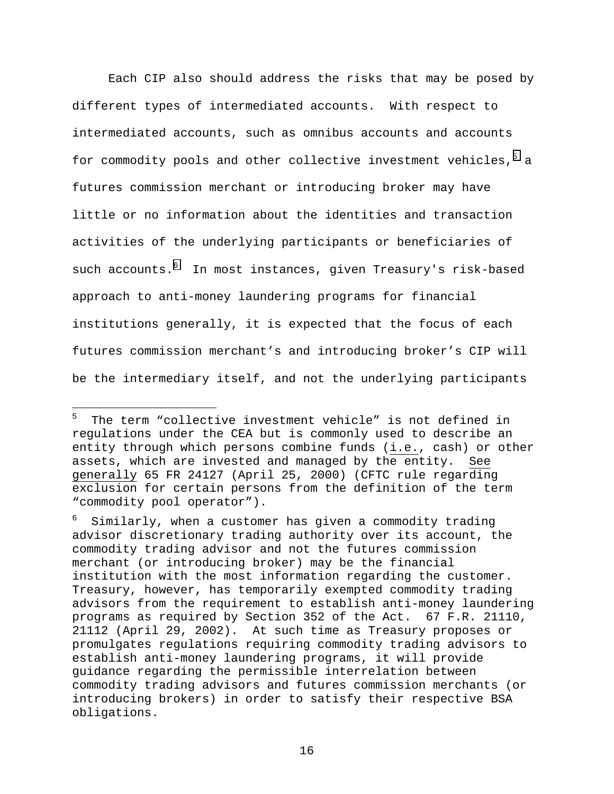Each CIP also should address the risks that may be posed by different types of intermediated accounts. With respect to intermediated accounts, such as omnibus accounts and accounts for commodity pools and other collective investment vehicles,<sup>5</sup> a futures commission merchant or introducing broker may have little or no information about the identities and transaction activities of the underlying participants or beneficiaries of such accounts. $^6$  In most instances, given Treasury's risk-based approach to anti-money laundering programs for financial institutions generally, it is expected that the focus of each futures commission merchant's and introducing broker's CIP will be the intermediary itself, and not the underlying participants

 $\overline{a}$ 

<sup>5</sup> The term "collective investment vehicle" is not defined in regulations under the CEA but is commonly used to describe an entity through which persons combine funds (i.e., cash) or other assets, which are invested and managed by the entity. See generally 65 FR 24127 (April 25, 2000) (CFTC rule regarding exclusion for certain persons from the definition of the term "commodity pool operator").

<sup>6</sup> Similarly, when a customer has given a commodity trading advisor discretionary trading authority over its account, the commodity trading advisor and not the futures commission merchant (or introducing broker) may be the financial institution with the most information regarding the customer. Treasury, however, has temporarily exempted commodity trading advisors from the requirement to establish anti-money laundering programs as required by Section 352 of the Act. 67 F.R. 21110, 21112 (April 29, 2002). At such time as Treasury proposes or promulgates regulations requiring commodity trading advisors to establish anti-money laundering programs, it will provide guidance regarding the permissible interrelation between commodity trading advisors and futures commission merchants (or introducing brokers) in order to satisfy their respective BSA obligations.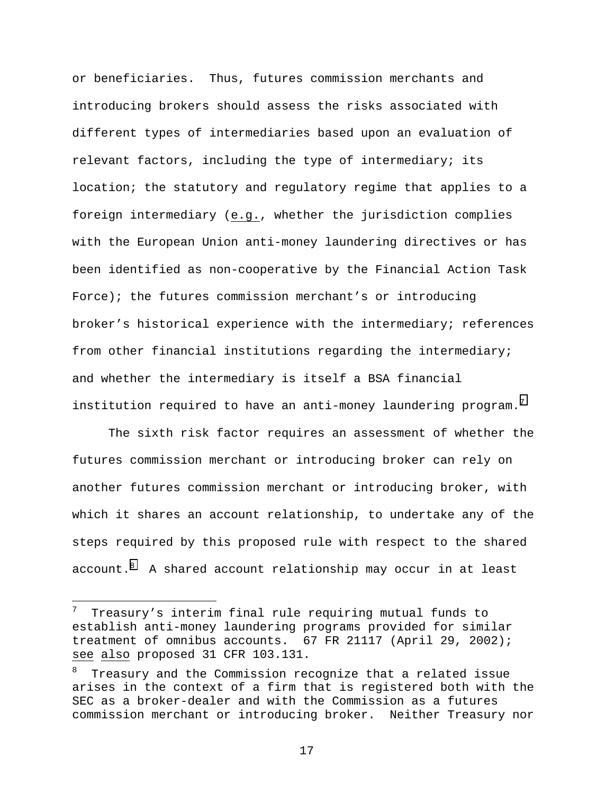or beneficiaries. Thus, futures commission merchants and introducing brokers should assess the risks associated with different types of intermediaries based upon an evaluation of relevant factors, including the type of intermediary; its location; the statutory and regulatory regime that applies to a foreign intermediary (e.g., whether the jurisdiction complies with the European Union anti-money laundering directives or has been identified as non-cooperative by the Financial Action Task Force); the futures commission merchant's or introducing broker's historical experience with the intermediary; references from other financial institutions regarding the intermediary; and whether the intermediary is itself a BSA financial institution required to have an anti-money laundering program.<sup>7</sup>

The sixth risk factor requires an assessment of whether the futures commission merchant or introducing broker can rely on another futures commission merchant or introducing broker, with which it shares an account relationship, to undertake any of the steps required by this proposed rule with respect to the shared account. $^8$  A shared account relationship may occur in at least

l

<sup>7</sup> Treasury's interim final rule requiring mutual funds to establish anti-money laundering programs provided for similar treatment of omnibus accounts. 67 FR 21117 (April 29, 2002); see also proposed 31 CFR 103.131.

<sup>8</sup> Treasury and the Commission recognize that a related issue arises in the context of a firm that is registered both with the SEC as a broker-dealer and with the Commission as a futures commission merchant or introducing broker. Neither Treasury nor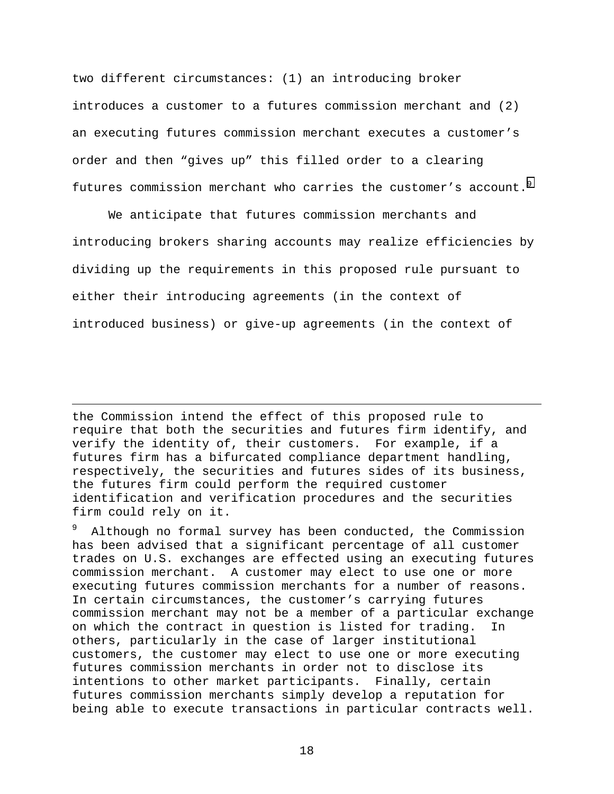two different circumstances: (1) an introducing broker introduces a customer to a futures commission merchant and (2) an executing futures commission merchant executes a customer's order and then "gives up" this filled order to a clearing futures commission merchant who carries the customer's account.<sup>9</sup>

We anticipate that futures commission merchants and introducing brokers sharing accounts may realize efficiencies by dividing up the requirements in this proposed rule pursuant to either their introducing agreements (in the context of introduced business) or give-up agreements (in the context of

the Commission intend the effect of this proposed rule to require that both the securities and futures firm identify, and verify the identity of, their customers. For example, if a futures firm has a bifurcated compliance department handling, respectively, the securities and futures sides of its business, the futures firm could perform the required customer identification and verification procedures and the securities firm could rely on it.

 $\overline{a}$ 

9 Although no formal survey has been conducted, the Commission has been advised that a significant percentage of all customer trades on U.S. exchanges are effected using an executing futures commission merchant. A customer may elect to use one or more executing futures commission merchants for a number of reasons. In certain circumstances, the customer's carrying futures commission merchant may not be a member of a particular exchange on which the contract in question is listed for trading. In others, particularly in the case of larger institutional customers, the customer may elect to use one or more executing futures commission merchants in order not to disclose its intentions to other market participants. Finally, certain futures commission merchants simply develop a reputation for being able to execute transactions in particular contracts well.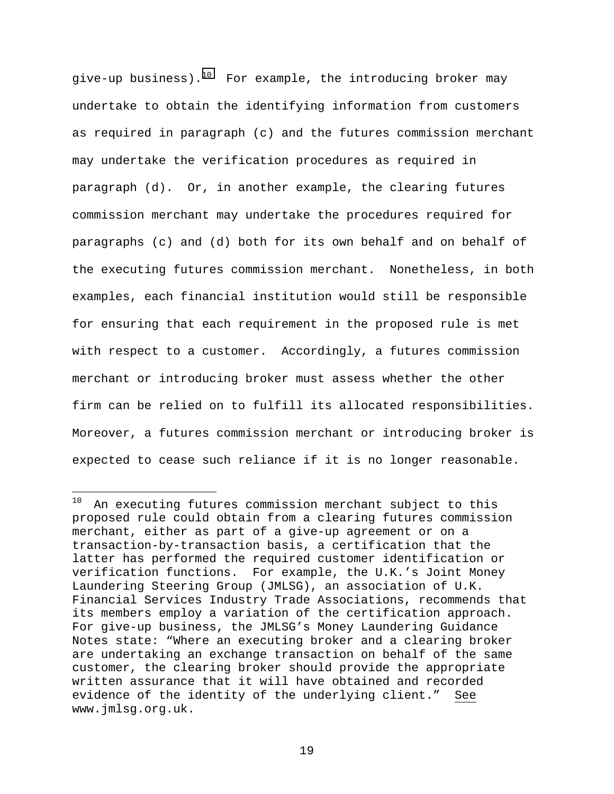give-up business).<sup>10</sup> For example, the introducing broker may undertake to obtain the identifying information from customers as required in paragraph (c) and the futures commission merchant may undertake the verification procedures as required in paragraph (d). Or, in another example, the clearing futures commission merchant may undertake the procedures required for paragraphs (c) and (d) both for its own behalf and on behalf of the executing futures commission merchant. Nonetheless, in both examples, each financial institution would still be responsible for ensuring that each requirement in the proposed rule is met with respect to a customer. Accordingly, a futures commission merchant or introducing broker must assess whether the other firm can be relied on to fulfill its allocated responsibilities. Moreover, a futures commission merchant or introducing broker is expected to cease such reliance if it is no longer reasonable.

 $10$ An executing futures commission merchant subject to this proposed rule could obtain from a clearing futures commission merchant, either as part of a give-up agreement or on a transaction-by-transaction basis, a certification that the latter has performed the required customer identification or verification functions. For example, the U.K.'s Joint Money Laundering Steering Group (JMLSG), an association of U.K. Financial Services Industry Trade Associations, recommends that its members employ a variation of the certification approach. For give-up business, the JMLSG's Money Laundering Guidance Notes state: "Where an executing broker and a clearing broker are undertaking an exchange transaction on behalf of the same customer, the clearing broker should provide the appropriate written assurance that it will have obtained and recorded evidence of the identity of the underlying client." See www.jmlsg.org.uk.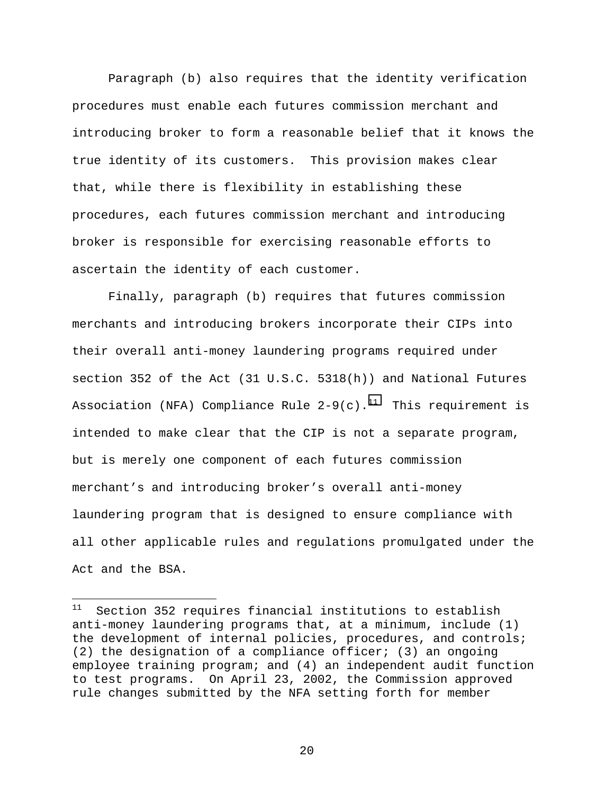Paragraph (b) also requires that the identity verification procedures must enable each futures commission merchant and introducing broker to form a reasonable belief that it knows the true identity of its customers. This provision makes clear that, while there is flexibility in establishing these procedures, each futures commission merchant and introducing broker is responsible for exercising reasonable efforts to ascertain the identity of each customer.

Finally, paragraph (b) requires that futures commission merchants and introducing brokers incorporate their CIPs into their overall anti-money laundering programs required under section 352 of the Act (31 U.S.C. 5318(h)) and National Futures Association (NFA) Compliance Rule  $2-9(c)$ .<sup>11</sup> This requirement is intended to make clear that the CIP is not a separate program, but is merely one component of each futures commission merchant's and introducing broker's overall anti-money laundering program that is designed to ensure compliance with all other applicable rules and regulations promulgated under the Act and the BSA.

 $11\,$ Section 352 requires financial institutions to establish anti-money laundering programs that, at a minimum, include (1) the development of internal policies, procedures, and controls; (2) the designation of a compliance officer; (3) an ongoing employee training program; and (4) an independent audit function to test programs. On April 23, 2002, the Commission approved rule changes submitted by the NFA setting forth for member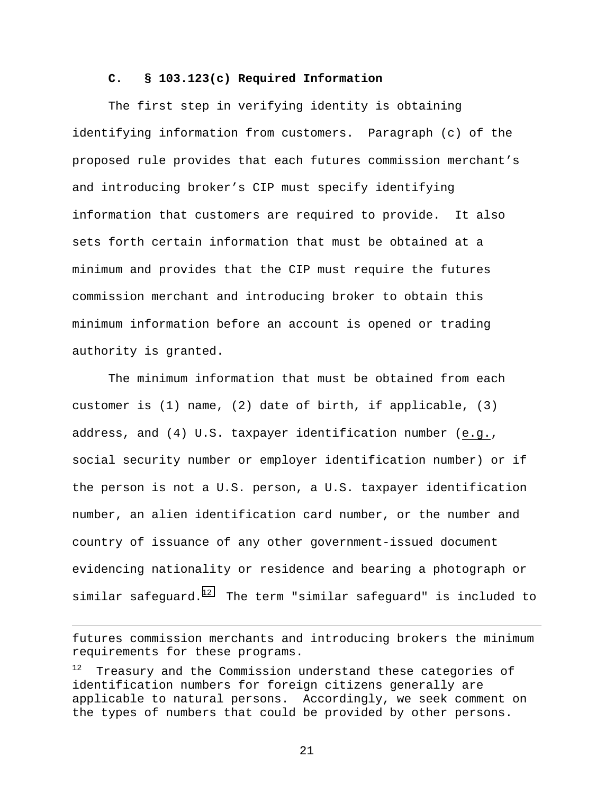### **C. § 103.123(c) Required Information**

The first step in verifying identity is obtaining identifying information from customers. Paragraph (c) of the proposed rule provides that each futures commission merchant's and introducing broker's CIP must specify identifying information that customers are required to provide. It also sets forth certain information that must be obtained at a minimum and provides that the CIP must require the futures commission merchant and introducing broker to obtain this minimum information before an account is opened or trading authority is granted.

The minimum information that must be obtained from each customer is (1) name, (2) date of birth, if applicable, (3) address, and (4) U.S. taxpayer identification number (e.g., social security number or employer identification number) or if the person is not a U.S. person, a U.S. taxpayer identification number, an alien identification card number, or the number and country of issuance of any other government-issued document evidencing nationality or residence and bearing a photograph or similar safequard.<sup>12</sup> The term "similar safequard" is included to

-

futures commission merchants and introducing brokers the minimum requirements for these programs.

Treasury and the Commission understand these categories of identification numbers for foreign citizens generally are applicable to natural persons. Accordingly, we seek comment on the types of numbers that could be provided by other persons.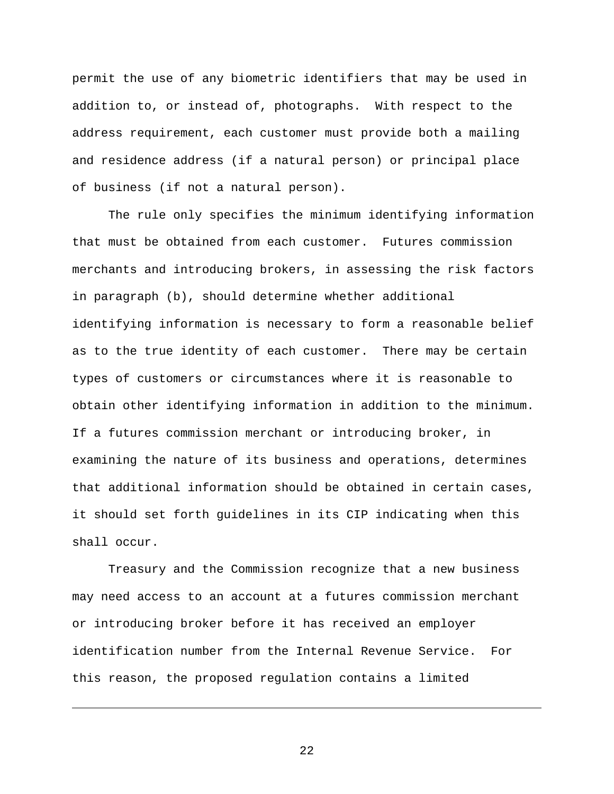permit the use of any biometric identifiers that may be used in addition to, or instead of, photographs. With respect to the address requirement, each customer must provide both a mailing and residence address (if a natural person) or principal place of business (if not a natural person).

The rule only specifies the minimum identifying information that must be obtained from each customer. Futures commission merchants and introducing brokers, in assessing the risk factors in paragraph (b), should determine whether additional identifying information is necessary to form a reasonable belief as to the true identity of each customer. There may be certain types of customers or circumstances where it is reasonable to obtain other identifying information in addition to the minimum. If a futures commission merchant or introducing broker, in examining the nature of its business and operations, determines that additional information should be obtained in certain cases, it should set forth guidelines in its CIP indicating when this shall occur.

Treasury and the Commission recognize that a new business may need access to an account at a futures commission merchant or introducing broker before it has received an employer identification number from the Internal Revenue Service. For this reason, the proposed regulation contains a limited

l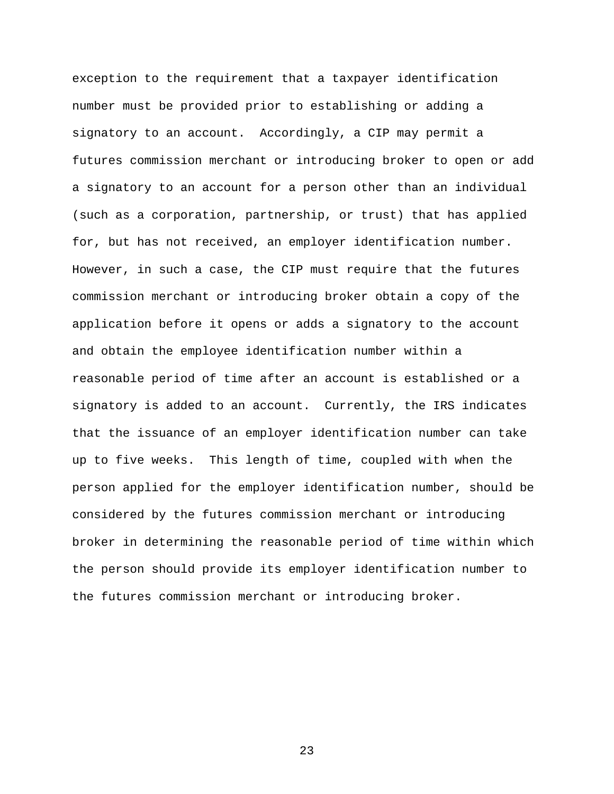exception to the requirement that a taxpayer identification number must be provided prior to establishing or adding a signatory to an account. Accordingly, a CIP may permit a futures commission merchant or introducing broker to open or add a signatory to an account for a person other than an individual (such as a corporation, partnership, or trust) that has applied for, but has not received, an employer identification number. However, in such a case, the CIP must require that the futures commission merchant or introducing broker obtain a copy of the application before it opens or adds a signatory to the account and obtain the employee identification number within a reasonable period of time after an account is established or a signatory is added to an account. Currently, the IRS indicates that the issuance of an employer identification number can take up to five weeks. This length of time, coupled with when the person applied for the employer identification number, should be considered by the futures commission merchant or introducing broker in determining the reasonable period of time within which the person should provide its employer identification number to the futures commission merchant or introducing broker.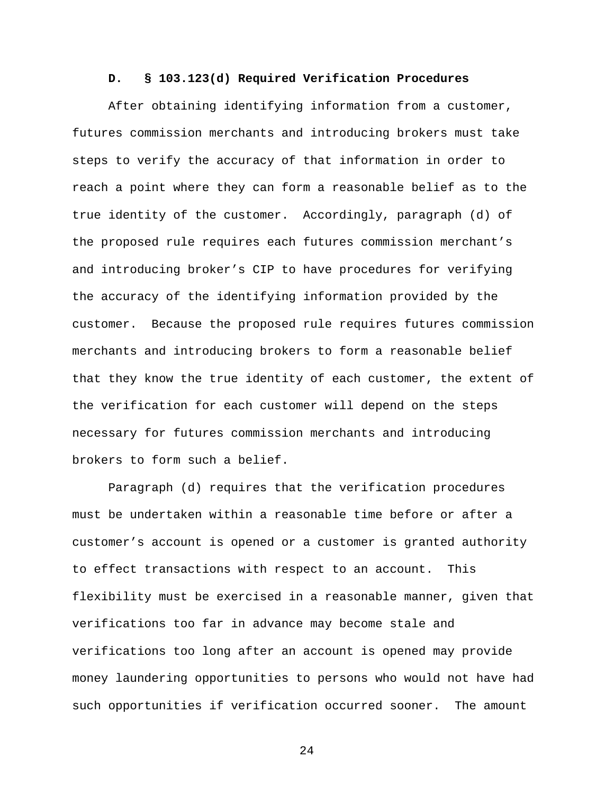#### **D. § 103.123(d) Required Verification Procedures**

After obtaining identifying information from a customer, futures commission merchants and introducing brokers must take steps to verify the accuracy of that information in order to reach a point where they can form a reasonable belief as to the true identity of the customer. Accordingly, paragraph (d) of the proposed rule requires each futures commission merchant's and introducing broker's CIP to have procedures for verifying the accuracy of the identifying information provided by the customer. Because the proposed rule requires futures commission merchants and introducing brokers to form a reasonable belief that they know the true identity of each customer, the extent of the verification for each customer will depend on the steps necessary for futures commission merchants and introducing brokers to form such a belief.

Paragraph (d) requires that the verification procedures must be undertaken within a reasonable time before or after a customer's account is opened or a customer is granted authority to effect transactions with respect to an account. This flexibility must be exercised in a reasonable manner, given that verifications too far in advance may become stale and verifications too long after an account is opened may provide money laundering opportunities to persons who would not have had such opportunities if verification occurred sooner. The amount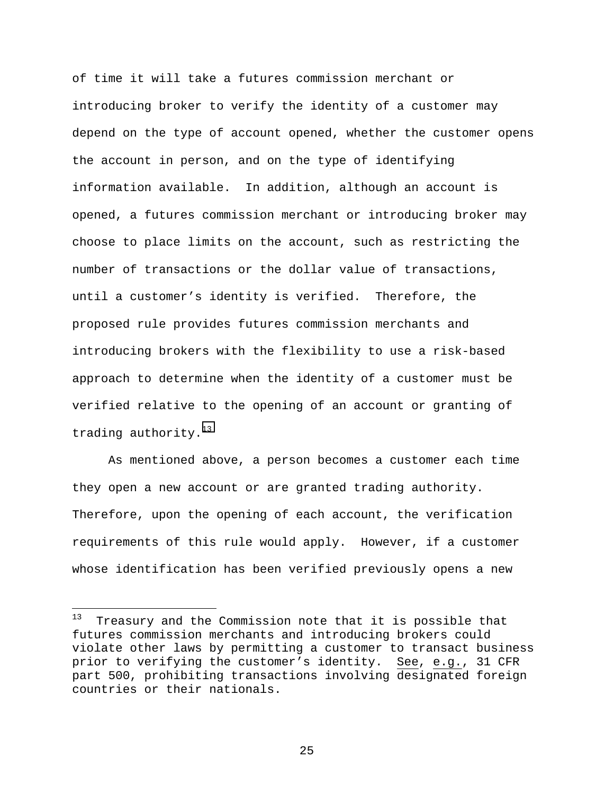of time it will take a futures commission merchant or introducing broker to verify the identity of a customer may depend on the type of account opened, whether the customer opens the account in person, and on the type of identifying information available. In addition, although an account is opened, a futures commission merchant or introducing broker may choose to place limits on the account, such as restricting the number of transactions or the dollar value of transactions, until a customer's identity is verified. Therefore, the proposed rule provides futures commission merchants and introducing brokers with the flexibility to use a risk-based approach to determine when the identity of a customer must be verified relative to the opening of an account or granting of trading authority. $^{13}$ 

As mentioned above, a person becomes a customer each time they open a new account or are granted trading authority. Therefore, upon the opening of each account, the verification requirements of this rule would apply. However, if a customer whose identification has been verified previously opens a new

 $13$ Treasury and the Commission note that it is possible that futures commission merchants and introducing brokers could violate other laws by permitting a customer to transact business prior to verifying the customer's identity. See, e.g., 31 CFR part 500, prohibiting transactions involving designated foreign countries or their nationals.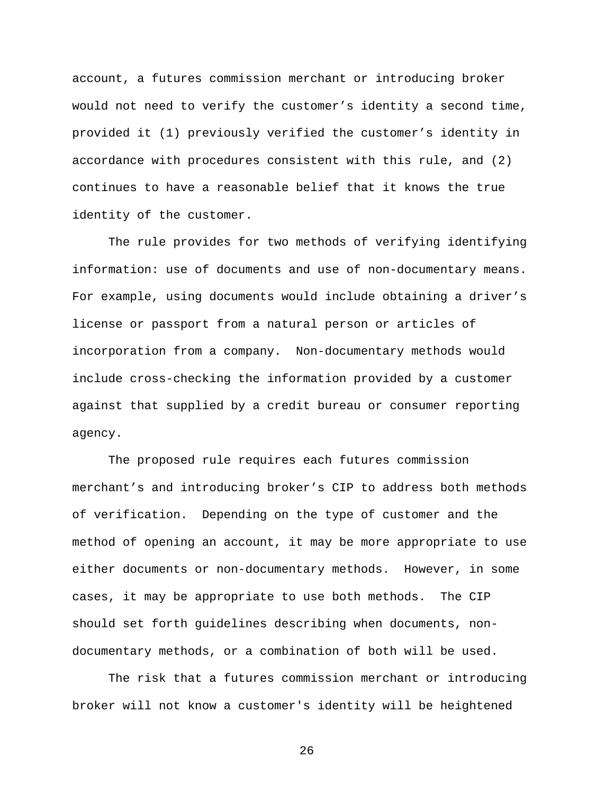account, a futures commission merchant or introducing broker would not need to verify the customer's identity a second time, provided it (1) previously verified the customer's identity in accordance with procedures consistent with this rule, and (2) continues to have a reasonable belief that it knows the true identity of the customer.

The rule provides for two methods of verifying identifying information: use of documents and use of non-documentary means. For example, using documents would include obtaining a driver's license or passport from a natural person or articles of incorporation from a company. Non-documentary methods would include cross-checking the information provided by a customer against that supplied by a credit bureau or consumer reporting agency.

The proposed rule requires each futures commission merchant's and introducing broker's CIP to address both methods of verification. Depending on the type of customer and the method of opening an account, it may be more appropriate to use either documents or non-documentary methods. However, in some cases, it may be appropriate to use both methods. The CIP should set forth guidelines describing when documents, nondocumentary methods, or a combination of both will be used.

The risk that a futures commission merchant or introducing broker will not know a customer's identity will be heightened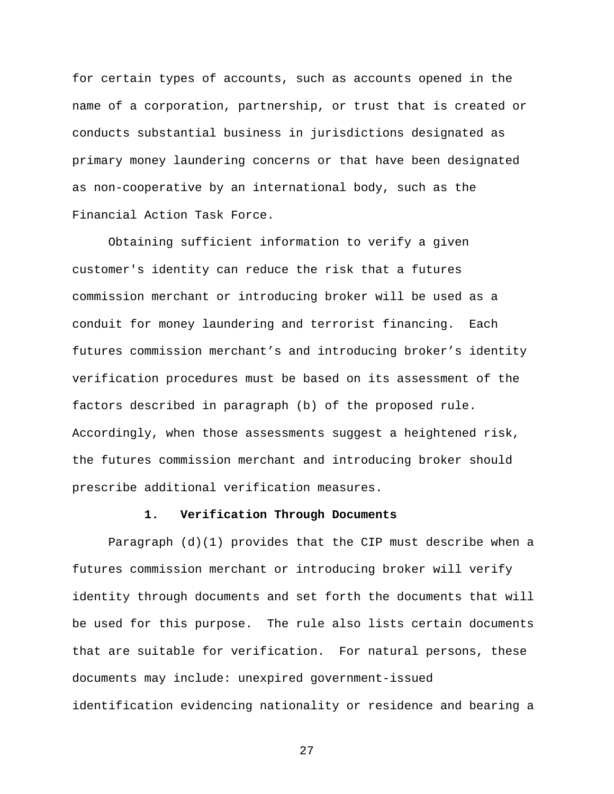for certain types of accounts, such as accounts opened in the name of a corporation, partnership, or trust that is created or conducts substantial business in jurisdictions designated as primary money laundering concerns or that have been designated as non-cooperative by an international body, such as the Financial Action Task Force.

Obtaining sufficient information to verify a given customer's identity can reduce the risk that a futures commission merchant or introducing broker will be used as a conduit for money laundering and terrorist financing.Each futures commission merchant's and introducing broker's identity verification procedures must be based on its assessment of the factors described in paragraph (b) of the proposed rule. Accordingly, when those assessments suggest a heightened risk, the futures commission merchant and introducing broker should prescribe additional verification measures.

## **1. Verification Through Documents**

Paragraph  $(d)(1)$  provides that the CIP must describe when a futures commission merchant or introducing broker will verify identity through documents and set forth the documents that will be used for this purpose. The rule also lists certain documents that are suitable for verification. For natural persons, these documents may include: unexpired government-issued identification evidencing nationality or residence and bearing a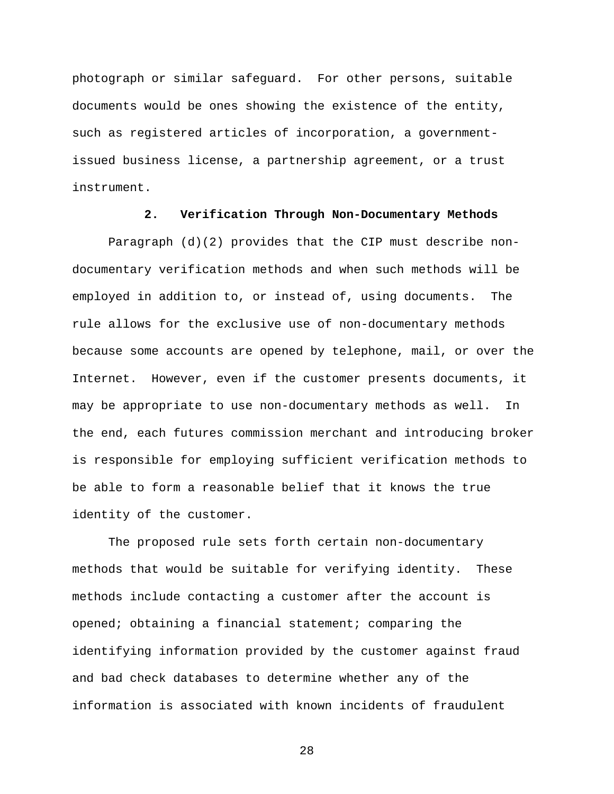photograph or similar safeguard. For other persons, suitable documents would be ones showing the existence of the entity, such as registered articles of incorporation, a governmentissued business license, a partnership agreement, or a trust instrument.

#### **2. Verification Through Non-Documentary Methods**

Paragraph (d)(2) provides that the CIP must describe nondocumentary verification methods and when such methods will be employed in addition to, or instead of, using documents. The rule allows for the exclusive use of non-documentary methods because some accounts are opened by telephone, mail, or over the Internet. However, even if the customer presents documents, it may be appropriate to use non-documentary methods as well. In the end, each futures commission merchant and introducing broker is responsible for employing sufficient verification methods to be able to form a reasonable belief that it knows the true identity of the customer.

The proposed rule sets forth certain non-documentary methods that would be suitable for verifying identity. These methods include contacting a customer after the account is opened; obtaining a financial statement; comparing the identifying information provided by the customer against fraud and bad check databases to determine whether any of the information is associated with known incidents of fraudulent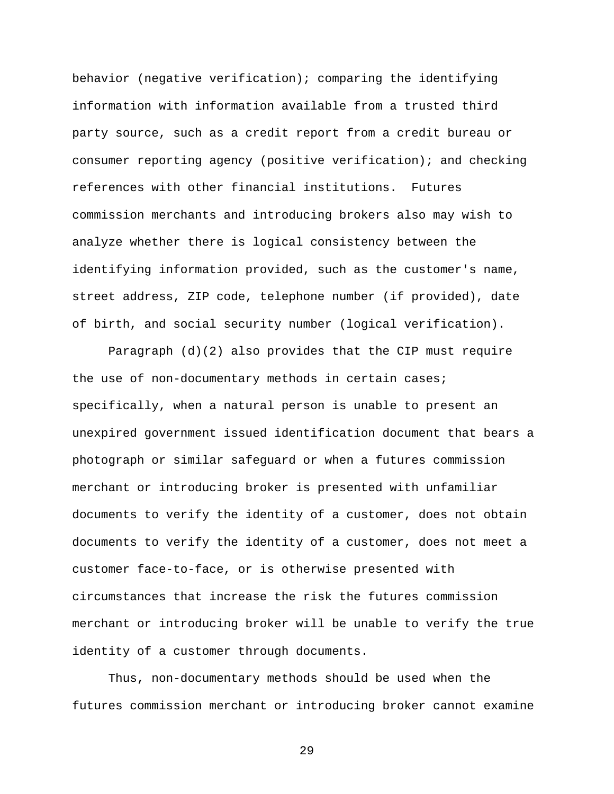behavior (negative verification); comparing the identifying information with information available from a trusted third party source, such as a credit report from a credit bureau or consumer reporting agency (positive verification); and checking references with other financial institutions. Futures commission merchants and introducing brokers also may wish to analyze whether there is logical consistency between the identifying information provided, such as the customer's name, street address, ZIP code, telephone number (if provided), date of birth, and social security number (logical verification).

Paragraph (d)(2) also provides that the CIP must require the use of non-documentary methods in certain cases; specifically, when a natural person is unable to present an unexpired government issued identification document that bears a photograph or similar safeguard or when a futures commission merchant or introducing broker is presented with unfamiliar documents to verify the identity of a customer, does not obtain documents to verify the identity of a customer, does not meet a customer face-to-face, or is otherwise presented with circumstances that increase the risk the futures commission merchant or introducing broker will be unable to verify the true identity of a customer through documents.

Thus, non-documentary methods should be used when the futures commission merchant or introducing broker cannot examine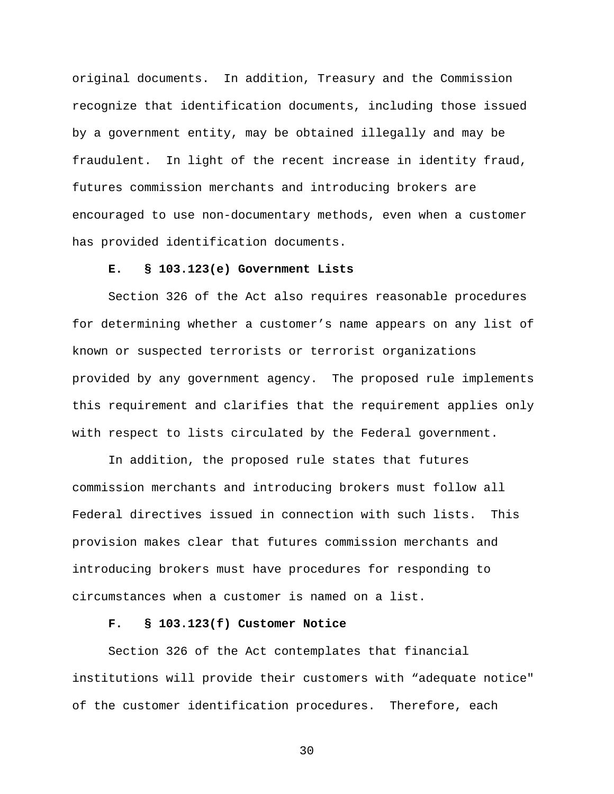original documents. In addition, Treasury and the Commission recognize that identification documents, including those issued by a government entity, may be obtained illegally and may be fraudulent. In light of the recent increase in identity fraud, futures commission merchants and introducing brokers are encouraged to use non-documentary methods, even when a customer has provided identification documents.

#### **E. § 103.123(e) Government Lists**

Section 326 of the Act also requires reasonable procedures for determining whether a customer's name appears on any list of known or suspected terrorists or terrorist organizations provided by any government agency. The proposed rule implements this requirement and clarifies that the requirement applies only with respect to lists circulated by the Federal government.

In addition, the proposed rule states that futures commission merchants and introducing brokers must follow all Federal directives issued in connection with such lists. This provision makes clear that futures commission merchants and introducing brokers must have procedures for responding to circumstances when a customer is named on a list.

## **F. § 103.123(f) Customer Notice**

Section 326 of the Act contemplates that financial institutions will provide their customers with "adequate notice" of the customer identification procedures. Therefore, each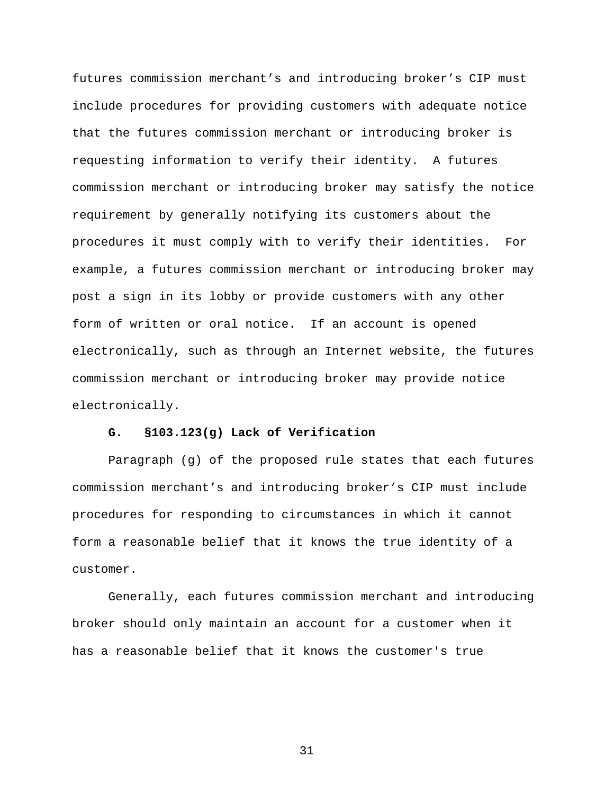futures commission merchant's and introducing broker's CIP must include procedures for providing customers with adequate notice that the futures commission merchant or introducing broker is requesting information to verify their identity. A futures commission merchant or introducing broker may satisfy the notice requirement by generally notifying its customers about the procedures it must comply with to verify their identities. For example, a futures commission merchant or introducing broker may post a sign in its lobby or provide customers with any other form of written or oral notice. If an account is opened electronically, such as through an Internet website, the futures commission merchant or introducing broker may provide notice electronically.

## **G. §103.123(g) Lack of Verification**

Paragraph (g) of the proposed rule states that each futures commission merchant's and introducing broker's CIP must include procedures for responding to circumstances in which it cannot form a reasonable belief that it knows the true identity of a customer.

Generally, each futures commission merchant and introducing broker should only maintain an account for a customer when it has a reasonable belief that it knows the customer's true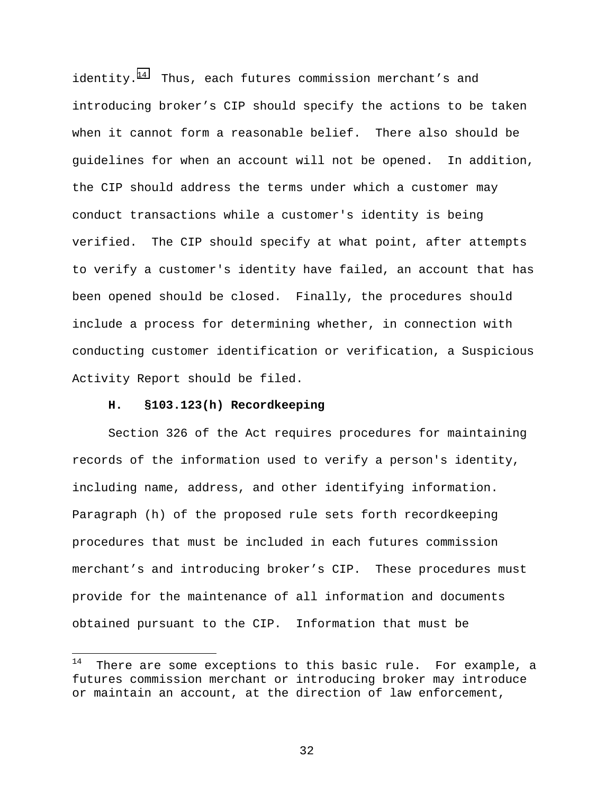identity. $14$  Thus, each futures commission merchant's and introducing broker's CIP should specify the actions to be taken when it cannot form a reasonable belief. There also should be guidelines for when an account will not be opened. In addition, the CIP should address the terms under which a customer may conduct transactions while a customer's identity is being verified. The CIP should specify at what point, after attempts to verify a customer's identity have failed, an account that has been opened should be closed. Finally, the procedures should include a process for determining whether, in connection with conducting customer identification or verification, a Suspicious Activity Report should be filed.

#### **H. §103.123(h) Recordkeeping**

l

Section 326 of the Act requires procedures for maintaining records of the information used to verify a person's identity, including name, address, and other identifying information. Paragraph (h) of the proposed rule sets forth recordkeeping procedures that must be included in each futures commission merchant's and introducing broker's CIP. These procedures must provide for the maintenance of all information and documents obtained pursuant to the CIP. Information that must be

 $14$  There are some exceptions to this basic rule. For example, a futures commission merchant or introducing broker may introduce or maintain an account, at the direction of law enforcement,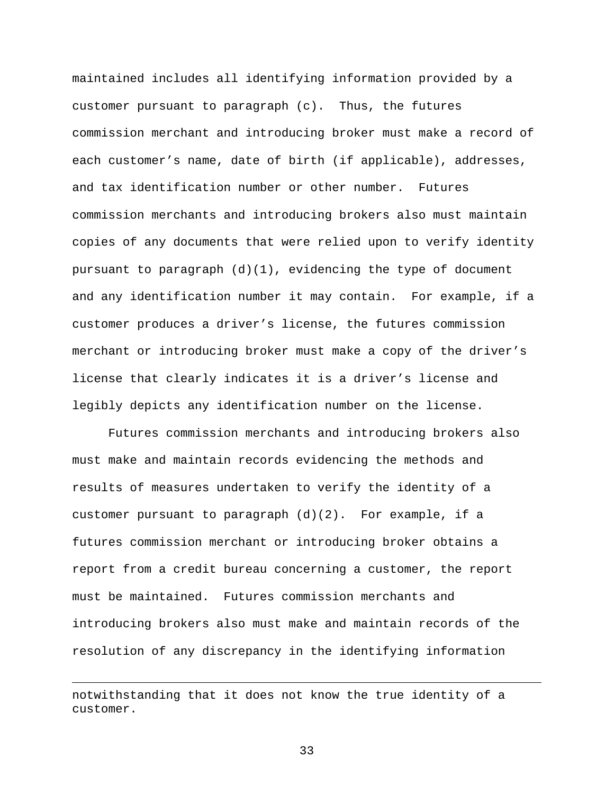maintained includes all identifying information provided by a customer pursuant to paragraph  $(c)$ . Thus, the futures commission merchant and introducing broker must make a record of each customer's name, date of birth (if applicable), addresses, and tax identification number or other number. Futures commission merchants and introducing brokers also must maintain copies of any documents that were relied upon to verify identity pursuant to paragraph  $(d)(1)$ , evidencing the type of document and any identification number it may contain. For example, if a customer produces a driver's license, the futures commission merchant or introducing broker must make a copy of the driver's license that clearly indicates it is a driver's license and legibly depicts any identification number on the license.

Futures commission merchants and introducing brokers also must make and maintain records evidencing the methods and results of measures undertaken to verify the identity of a customer pursuant to paragraph  $(d)(2)$ . For example, if a futures commission merchant or introducing broker obtains a report from a credit bureau concerning a customer, the report must be maintained. Futures commission merchants and introducing brokers also must make and maintain records of the resolution of any discrepancy in the identifying information

 $\overline{a}$ 

notwithstanding that it does not know the true identity of a customer.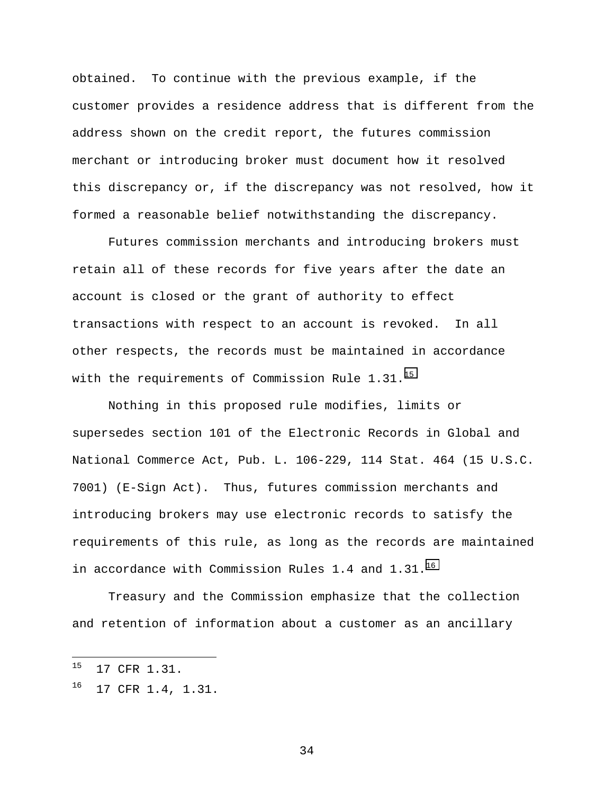obtained. To continue with the previous example, if the customer provides a residence address that is different from the address shown on the credit report, the futures commission merchant or introducing broker must document how it resolved this discrepancy or, if the discrepancy was not resolved, how it formed a reasonable belief notwithstanding the discrepancy.

Futures commission merchants and introducing brokers must retain all of these records for five years after the date an account is closed or the grant of authority to effect transactions with respect to an account is revoked. In all other respects, the records must be maintained in accordance with the requirements of Commission Rule 1.31.<sup>15</sup>

Nothing in this proposed rule modifies, limits or supersedes section 101 of the Electronic Records in Global and National Commerce Act, Pub. L. 106-229, 114 Stat. 464 (15 U.S.C. 7001) (E-Sign Act). Thus, futures commission merchants and introducing brokers may use electronic records to satisfy the requirements of this rule, as long as the records are maintained in accordance with Commission Rules 1.4 and  $1.31.^{16}$ 

Treasury and the Commission emphasize that the collection and retention of information about a customer as an ancillary

 $15$ 15 17 CFR 1.31.

<sup>&</sup>lt;sup>16</sup> 17 CFR 1.4, 1.31.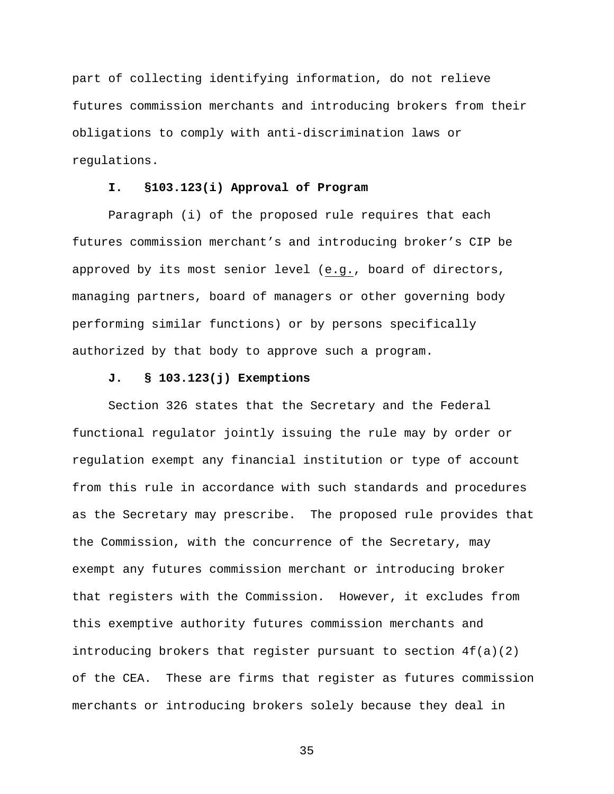part of collecting identifying information, do not relieve futures commission merchants and introducing brokers from their obligations to comply with anti-discrimination laws or regulations.

## **I. §103.123(i) Approval of Program**

Paragraph (i) of the proposed rule requires that each futures commission merchant's and introducing broker's CIP be approved by its most senior level (e.g., board of directors, managing partners, board of managers or other governing body performing similar functions) or by persons specifically authorized by that body to approve such a program.

#### **J. § 103.123(j) Exemptions**

Section 326 states that the Secretary and the Federal functional regulator jointly issuing the rule may by order or regulation exempt any financial institution or type of account from this rule in accordance with such standards and procedures as the Secretary may prescribe. The proposed rule provides that the Commission, with the concurrence of the Secretary, may exempt any futures commission merchant or introducing broker that registers with the Commission. However, it excludes from this exemptive authority futures commission merchants and introducing brokers that register pursuant to section  $4f(a)(2)$ of the CEA. These are firms that register as futures commission merchants or introducing brokers solely because they deal in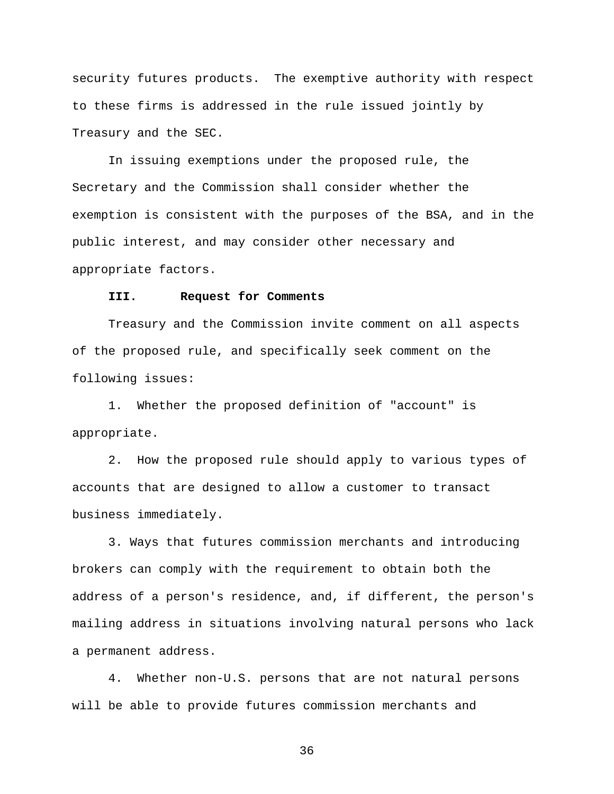security futures products. The exemptive authority with respect to these firms is addressed in the rule issued jointly by Treasury and the SEC.

In issuing exemptions under the proposed rule, the Secretary and the Commission shall consider whether the exemption is consistent with the purposes of the BSA, and in the public interest, and may consider other necessary and appropriate factors.

#### **III. Request for Comments**

Treasury and the Commission invite comment on all aspects of the proposed rule, and specifically seek comment on the following issues:

1. Whether the proposed definition of "account" is appropriate.

2. How the proposed rule should apply to various types of accounts that are designed to allow a customer to transact business immediately.

3. Ways that futures commission merchants and introducing brokers can comply with the requirement to obtain both the address of a person's residence, and, if different, the person's mailing address in situations involving natural persons who lack a permanent address.

4. Whether non-U.S. persons that are not natural persons will be able to provide futures commission merchants and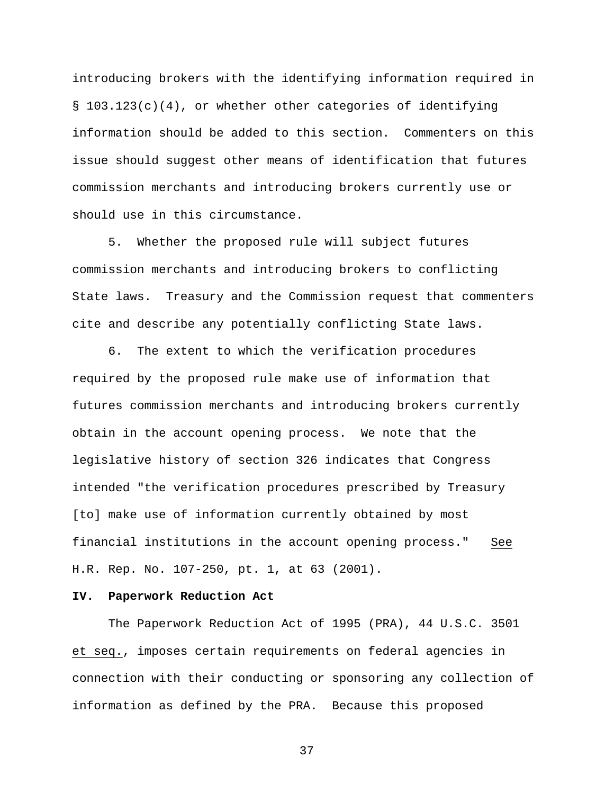introducing brokers with the identifying information required in  $\S$  103.123(c)(4), or whether other categories of identifying information should be added to this section. Commenters on this issue should suggest other means of identification that futures commission merchants and introducing brokers currently use or should use in this circumstance.

5. Whether the proposed rule will subject futures commission merchants and introducing brokers to conflicting State laws. Treasury and the Commission request that commenters cite and describe any potentially conflicting State laws.

6. The extent to which the verification procedures required by the proposed rule make use of information that futures commission merchants and introducing brokers currently obtain in the account opening process. We note that the legislative history of section 326 indicates that Congress intended "the verification procedures prescribed by Treasury [to] make use of information currently obtained by most financial institutions in the account opening process." See H.R. Rep. No. 107-250, pt. 1, at 63 (2001).

#### **IV. Paperwork Reduction Act**

The Paperwork Reduction Act of 1995 (PRA), 44 U.S.C. 3501 et seq., imposes certain requirements on federal agencies in connection with their conducting or sponsoring any collection of information as defined by the PRA. Because this proposed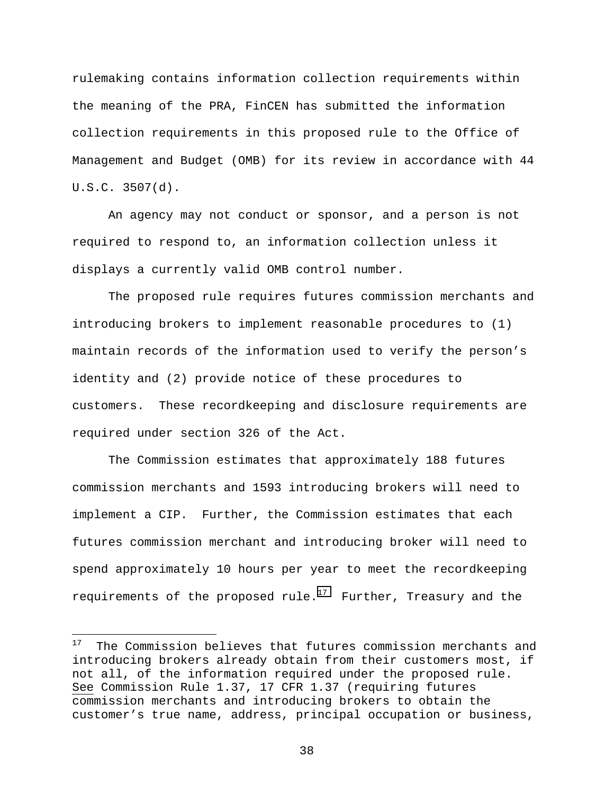rulemaking contains information collection requirements within the meaning of the PRA, FinCEN has submitted the information collection requirements in this proposed rule to the Office of Management and Budget (OMB) for its review in accordance with 44 U.S.C. 3507(d).

An agency may not conduct or sponsor, and a person is not required to respond to, an information collection unless it displays a currently valid OMB control number.

The proposed rule requires futures commission merchants and introducing brokers to implement reasonable procedures to (1) maintain records of the information used to verify the person's identity and (2) provide notice of these procedures to customers. These recordkeeping and disclosure requirements are required under section 326 of the Act.

The Commission estimates that approximately 188 futures commission merchants and 1593 introducing brokers will need to implement a CIP. Further, the Commission estimates that each futures commission merchant and introducing broker will need to spend approximately 10 hours per year to meet the recordkeeping requirements of the proposed rule.<sup>17</sup> Further, Treasury and the

-

 $17$  The Commission believes that futures commission merchants and introducing brokers already obtain from their customers most, if not all, of the information required under the proposed rule. See Commission Rule 1.37, 17 CFR 1.37 (requiring futures commission merchants and introducing brokers to obtain the customer's true name, address, principal occupation or business,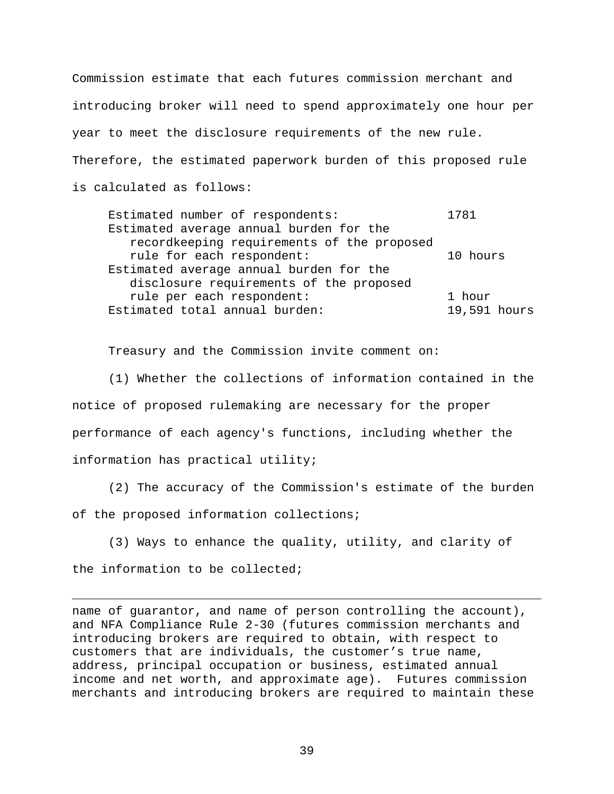Commission estimate that each futures commission merchant and introducing broker will need to spend approximately one hour per year to meet the disclosure requirements of the new rule. Therefore, the estimated paperwork burden of this proposed rule is calculated as follows:

Estimated number of respondents: 1781 Estimated average annual burden for the recordkeeping requirements of the proposed rule for each respondent: 10 hours Estimated average annual burden for the disclosure requirements of the proposed rule per each respondent: 1 hour Estimated total annual burden: 19,591 hours

Treasury and the Commission invite comment on:

(1) Whether the collections of information contained in the notice of proposed rulemaking are necessary for the proper performance of each agency's functions, including whether the information has practical utility;

(2) The accuracy of the Commission's estimate of the burden of the proposed information collections;

(3) Ways to enhance the quality, utility, and clarity of the information to be collected;

l

name of guarantor, and name of person controlling the account), and NFA Compliance Rule 2-30 (futures commission merchants and introducing brokers are required to obtain, with respect to customers that are individuals, the customer's true name, address, principal occupation or business, estimated annual income and net worth, and approximate age). Futures commission merchants and introducing brokers are required to maintain these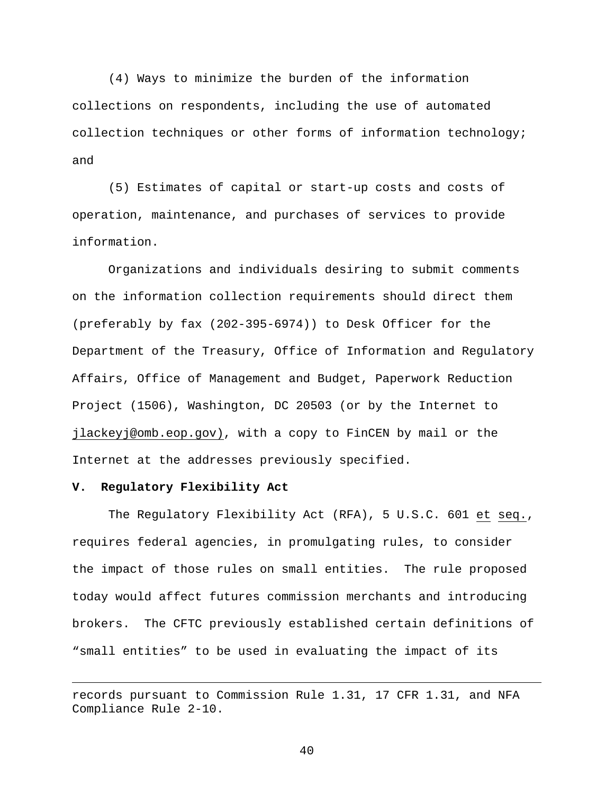(4) Ways to minimize the burden of the information collections on respondents, including the use of automated collection techniques or other forms of information technology; and

(5) Estimates of capital or start-up costs and costs of operation, maintenance, and purchases of services to provide information.

Organizations and individuals desiring to submit comments on the information collection requirements should direct them (preferably by fax (202-395-6974)) to Desk Officer for the Department of the Treasury, Office of Information and Regulatory Affairs, Office of Management and Budget, Paperwork Reduction Project (1506), Washington, DC 20503 (or by the Internet to jlackeyj@omb.eop.gov), with a copy to FinCEN by mail or the Internet at the addresses previously specified.

#### **V. Regulatory Flexibility Act**

 $\overline{a}$ 

The Regulatory Flexibility Act (RFA), 5 U.S.C. 601 et seq., requires federal agencies, in promulgating rules, to consider the impact of those rules on small entities. The rule proposed today would affect futures commission merchants and introducing brokers. The CFTC previously established certain definitions of "small entities" to be used in evaluating the impact of its

records pursuant to Commission Rule 1.31, 17 CFR 1.31, and NFA Compliance Rule 2-10.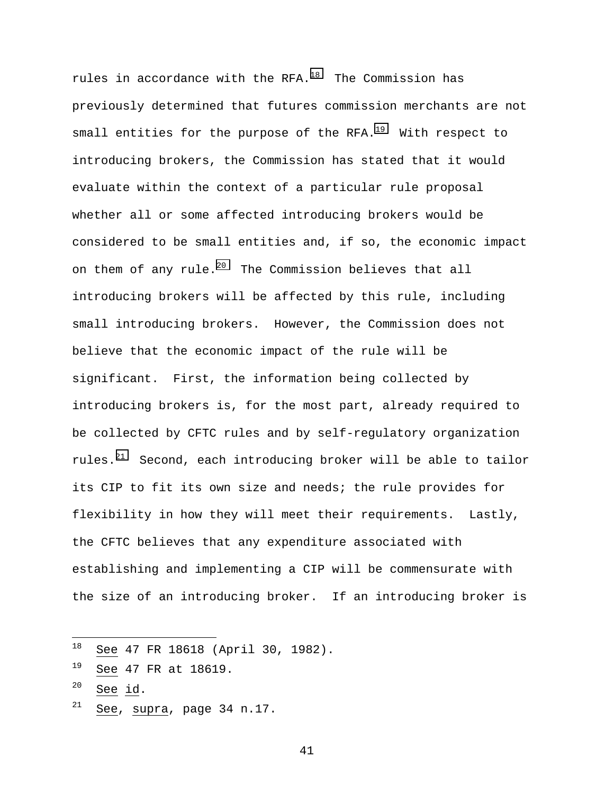rules in accordance with the RFA. $18$  The Commission has previously determined that futures commission merchants are not small entities for the purpose of the RFA. $19$  With respect to introducing brokers, the Commission has stated that it would evaluate within the context of a particular rule proposal whether all or some affected introducing brokers would be considered to be small entities and, if so, the economic impact on them of any rule.<sup>20</sup> The Commission believes that all introducing brokers will be affected by this rule, including small introducing brokers. However, the Commission does not believe that the economic impact of the rule will be significant. First, the information being collected by introducing brokers is, for the most part, already required to be collected by CFTC rules and by self-regulatory organization rules.<sup>21</sup> Second, each introducing broker will be able to tailor its CIP to fit its own size and needs; the rule provides for flexibility in how they will meet their requirements. Lastly, the CFTC believes that any expenditure associated with establishing and implementing a CIP will be commensurate with the size of an introducing broker. If an introducing broker is

- $20$  See id.
- $21$  See, supra, page 34 n.17.

<sup>18</sup> See 47 FR 18618 (April 30, 1982).

 $19$  See 47 FR at 18619.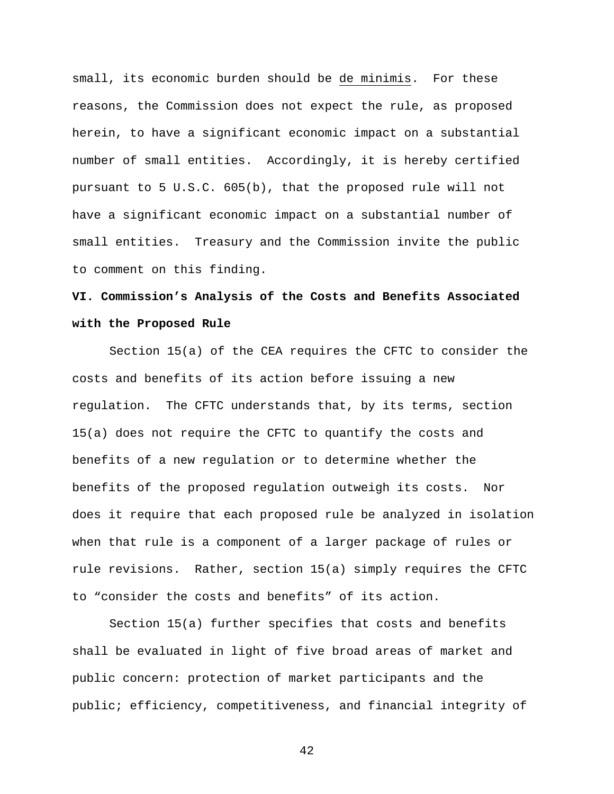small, its economic burden should be de minimis. For these reasons, the Commission does not expect the rule, as proposed herein, to have a significant economic impact on a substantial number of small entities. Accordingly, it is hereby certified pursuant to 5 U.S.C. 605(b), that the proposed rule will not have a significant economic impact on a substantial number of small entities. Treasury and the Commission invite the public to comment on this finding.

# **VI. Commission's Analysis of the Costs and Benefits Associated with the Proposed Rule**

Section 15(a) of the CEA requires the CFTC to consider the costs and benefits of its action before issuing a new regulation. The CFTC understands that, by its terms, section 15(a) does not require the CFTC to quantify the costs and benefits of a new regulation or to determine whether the benefits of the proposed regulation outweigh its costs. Nor does it require that each proposed rule be analyzed in isolation when that rule is a component of a larger package of rules or rule revisions. Rather, section 15(a) simply requires the CFTC to "consider the costs and benefits" of its action.

Section 15(a) further specifies that costs and benefits shall be evaluated in light of five broad areas of market and public concern: protection of market participants and the public; efficiency, competitiveness, and financial integrity of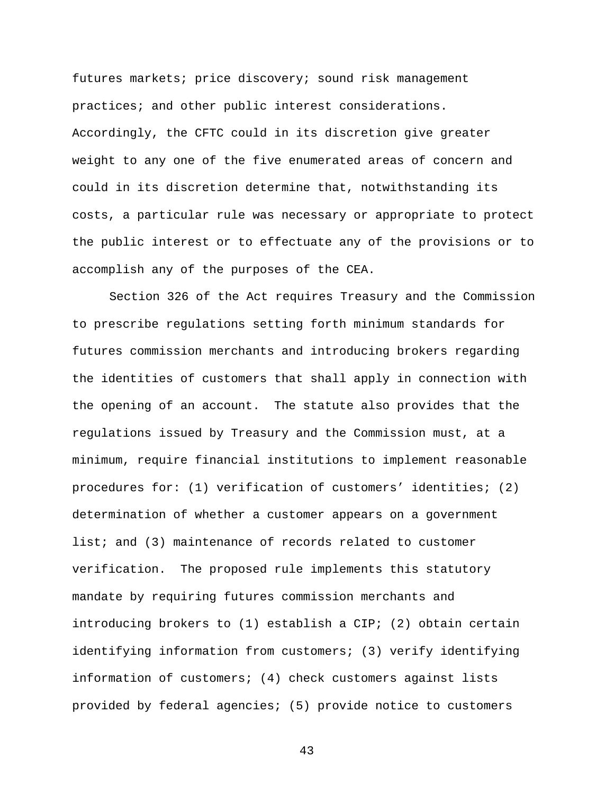futures markets; price discovery; sound risk management practices; and other public interest considerations. Accordingly, the CFTC could in its discretion give greater weight to any one of the five enumerated areas of concern and could in its discretion determine that, notwithstanding its costs, a particular rule was necessary or appropriate to protect the public interest or to effectuate any of the provisions or to accomplish any of the purposes of the CEA.

Section 326 of the Act requires Treasury and the Commission to prescribe regulations setting forth minimum standards for futures commission merchants and introducing brokers regarding the identities of customers that shall apply in connection with the opening of an account. The statute also provides that the regulations issued by Treasury and the Commission must, at a minimum, require financial institutions to implement reasonable procedures for: (1) verification of customers' identities; (2) determination of whether a customer appears on a government list; and (3) maintenance of records related to customer verification. The proposed rule implements this statutory mandate by requiring futures commission merchants and introducing brokers to (1) establish a CIP; (2) obtain certain identifying information from customers; (3) verify identifying information of customers; (4) check customers against lists provided by federal agencies; (5) provide notice to customers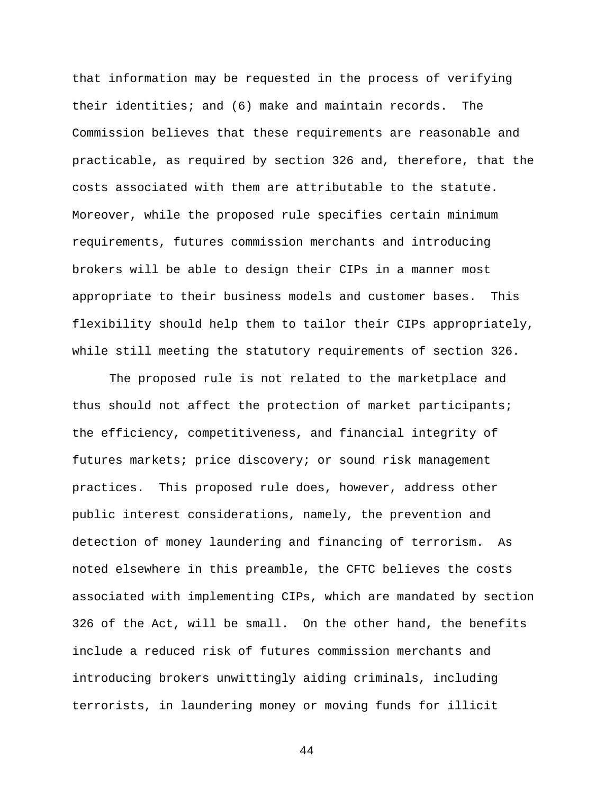that information may be requested in the process of verifying their identities; and (6) make and maintain records. The Commission believes that these requirements are reasonable and practicable, as required by section 326 and, therefore, that the costs associated with them are attributable to the statute. Moreover, while the proposed rule specifies certain minimum requirements, futures commission merchants and introducing brokers will be able to design their CIPs in a manner most appropriate to their business models and customer bases. This flexibility should help them to tailor their CIPs appropriately, while still meeting the statutory requirements of section 326.

The proposed rule is not related to the marketplace and thus should not affect the protection of market participants; the efficiency, competitiveness, and financial integrity of futures markets; price discovery; or sound risk management practices. This proposed rule does, however, address other public interest considerations, namely, the prevention and detection of money laundering and financing of terrorism. As noted elsewhere in this preamble, the CFTC believes the costs associated with implementing CIPs, which are mandated by section 326 of the Act, will be small. On the other hand, the benefits include a reduced risk of futures commission merchants and introducing brokers unwittingly aiding criminals, including terrorists, in laundering money or moving funds for illicit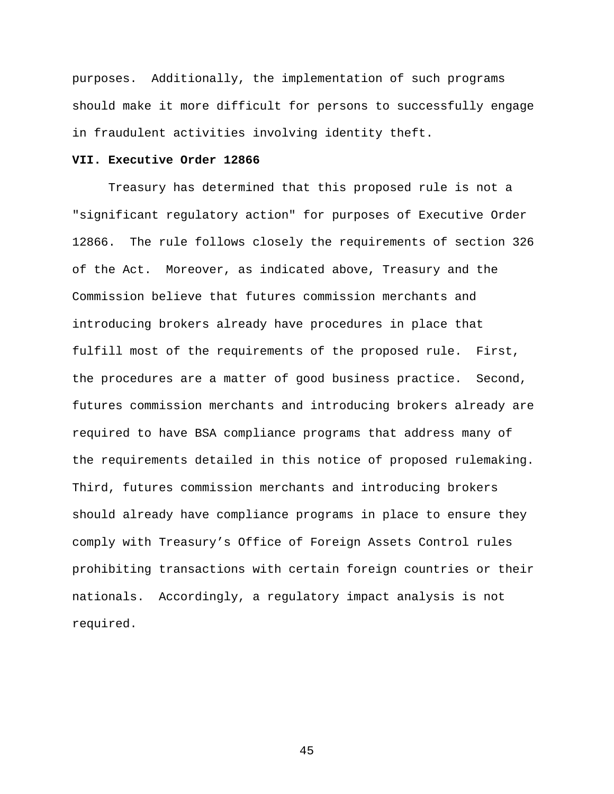purposes. Additionally, the implementation of such programs should make it more difficult for persons to successfully engage in fraudulent activities involving identity theft.

## **VII. Executive Order 12866**

Treasury has determined that this proposed rule is not a "significant regulatory action" for purposes of Executive Order 12866. The rule follows closely the requirements of section 326 of the Act. Moreover, as indicated above, Treasury and the Commission believe that futures commission merchants and introducing brokers already have procedures in place that fulfill most of the requirements of the proposed rule. First, the procedures are a matter of good business practice. Second, futures commission merchants and introducing brokers already are required to have BSA compliance programs that address many of the requirements detailed in this notice of proposed rulemaking. Third, futures commission merchants and introducing brokers should already have compliance programs in place to ensure they comply with Treasury's Office of Foreign Assets Control rules prohibiting transactions with certain foreign countries or their nationals. Accordingly, a regulatory impact analysis is not required.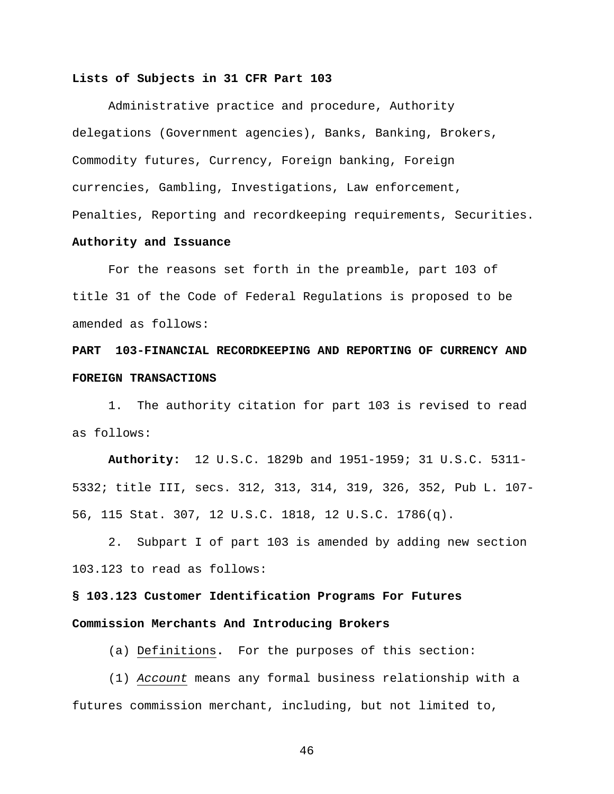### **Lists of Subjects in 31 CFR Part 103**

Administrative practice and procedure, Authority delegations (Government agencies), Banks, Banking, Brokers, Commodity futures, Currency, Foreign banking, Foreign currencies, Gambling, Investigations, Law enforcement, Penalties, Reporting and recordkeeping requirements, Securities.

## **Authority and Issuance**

For the reasons set forth in the preamble, part 103 of title 31 of the Code of Federal Regulations is proposed to be amended as follows:

## **PART 103-FINANCIAL RECORDKEEPING AND REPORTING OF CURRENCY AND FOREIGN TRANSACTIONS**

1. The authority citation for part 103 is revised to read as follows:

**Authority:** 12 U.S.C. 1829b and 1951-1959; 31 U.S.C. 5311- 5332; title III, secs. 312, 313, 314, 319, 326, 352, Pub L. 107- 56, 115 Stat. 307, 12 U.S.C. 1818, 12 U.S.C. 1786(q).

2. Subpart I of part 103 is amended by adding new section 103.123 to read as follows:

**§ 103.123 Customer Identification Programs For Futures Commission Merchants And Introducing Brokers**

(a) Definitions**.** For the purposes of this section:

(1) Account means any formal business relationship with a futures commission merchant, including, but not limited to,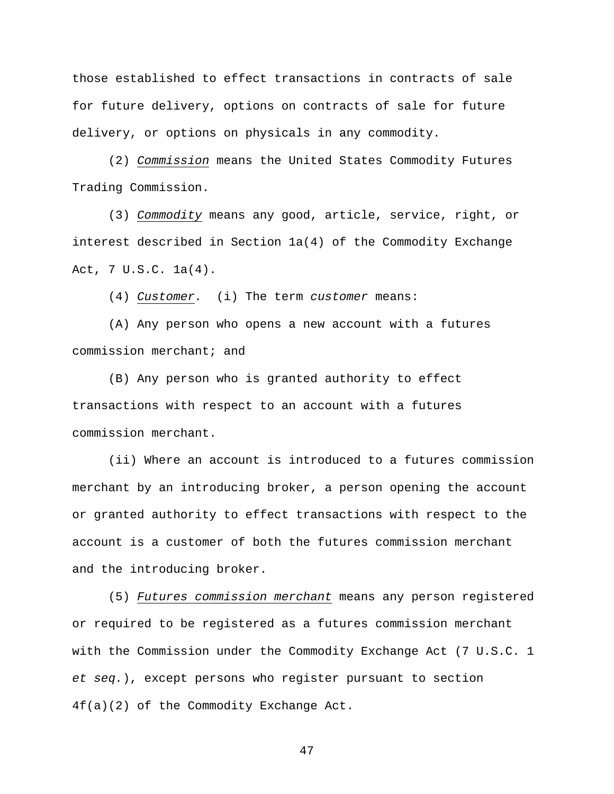those established to effect transactions in contracts of sale for future delivery, options on contracts of sale for future delivery, or options on physicals in any commodity.

(2) Commission means the United States Commodity Futures Trading Commission.

(3) Commodity means any good, article, service, right, or interest described in Section 1a(4) of the Commodity Exchange Act, 7 U.S.C. 1a(4).

(4) Customer. (i) The term customer means:

(A) Any person who opens a new account with a futures commission merchant; and

(B) Any person who is granted authority to effect transactions with respect to an account with a futures commission merchant.

(ii) Where an account is introduced to a futures commission merchant by an introducing broker, a person opening the account or granted authority to effect transactions with respect to the account is a customer of both the futures commission merchant and the introducing broker.

(5) Futures commission merchant means any person registered or required to be registered as a futures commission merchant with the Commission under the Commodity Exchange Act (7 U.S.C. 1 et seq.), except persons who register pursuant to section 4f(a)(2) of the Commodity Exchange Act.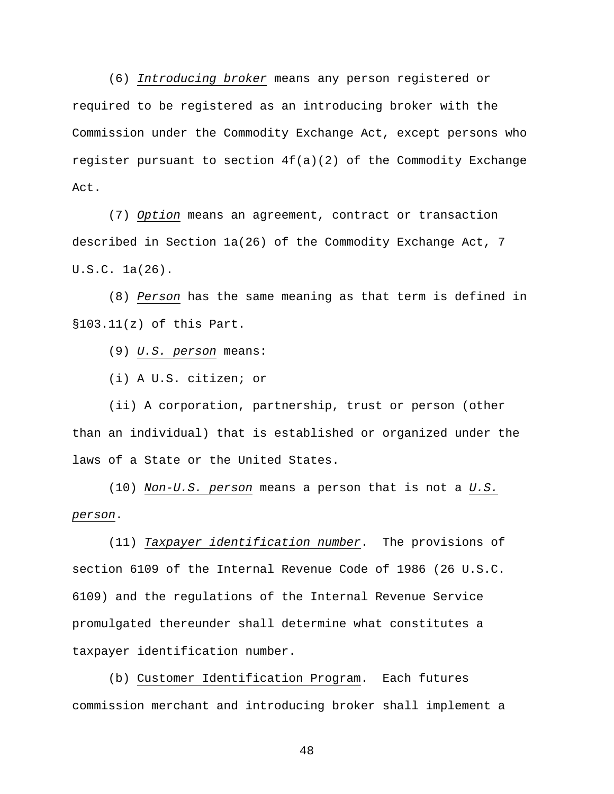(6) Introducing broker means any person registered or required to be registered as an introducing broker with the Commission under the Commodity Exchange Act, except persons who register pursuant to section  $4f(a)(2)$  of the Commodity Exchange Act.

(7) Option means an agreement, contract or transaction described in Section 1a(26) of the Commodity Exchange Act, 7 U.S.C. 1a(26).

(8) Person has the same meaning as that term is defined in §103.11(z) of this Part.

(9) U.S. person means:

(i) A U.S. citizen; or

(ii) A corporation, partnership, trust or person (other than an individual) that is established or organized under the laws of a State or the United States.

(10) Non-U.S. person means a person that is not a U.S. person.

(11) Taxpayer identification number. The provisions of section 6109 of the Internal Revenue Code of 1986 (26 U.S.C. 6109) and the regulations of the Internal Revenue Service promulgated thereunder shall determine what constitutes a taxpayer identification number.

(b) Customer Identification Program. Each futures commission merchant and introducing broker shall implement a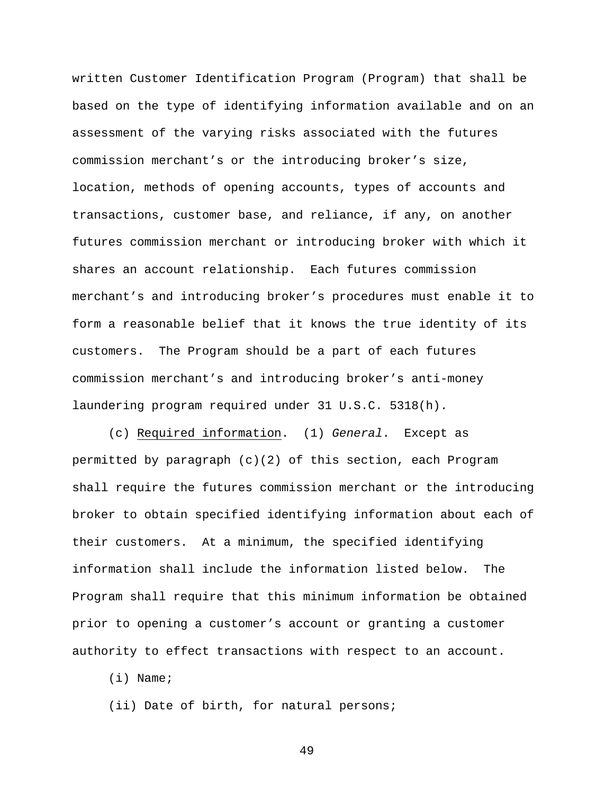written Customer Identification Program (Program) that shall be based on the type of identifying information available and on an assessment of the varying risks associated with the futures commission merchant's or the introducing broker's size, location, methods of opening accounts, types of accounts and transactions, customer base, and reliance, if any, on another futures commission merchant or introducing broker with which it shares an account relationship. Each futures commission merchant's and introducing broker's procedures must enable it to form a reasonable belief that it knows the true identity of its customers. The Program should be a part of each futures commission merchant's and introducing broker's anti-money laundering program required under 31 U.S.C. 5318(h).

(c) Required information. (1) General. Except as permitted by paragraph (c)(2) of this section, each Program shall require the futures commission merchant or the introducing broker to obtain specified identifying information about each of their customers. At a minimum, the specified identifying information shall include the information listed below. The Program shall require that this minimum information be obtained prior to opening a customer's account or granting a customer authority to effect transactions with respect to an account.

(i) Name;

(ii) Date of birth, for natural persons;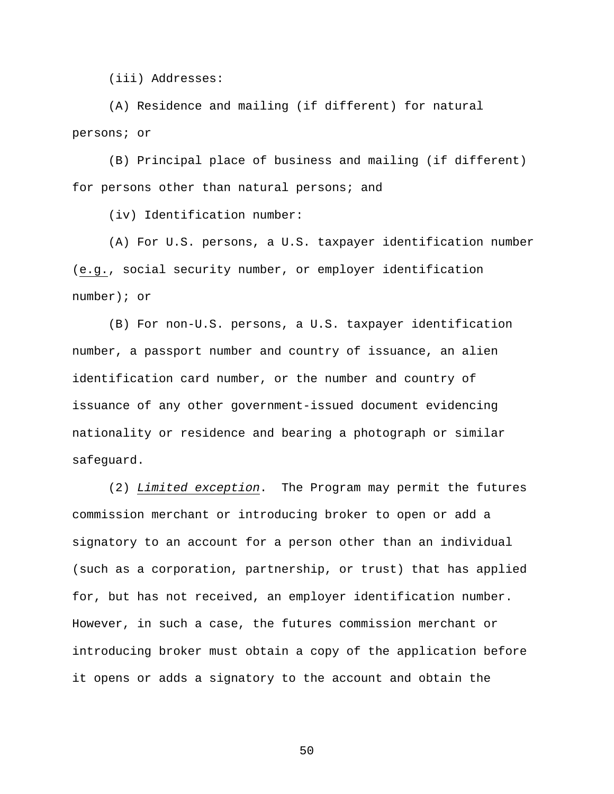(iii) Addresses:

(A) Residence and mailing (if different) for natural persons; or

(B) Principal place of business and mailing (if different) for persons other than natural persons; and

(iv) Identification number:

(A) For U.S. persons, a U.S. taxpayer identification number (e.g., social security number, or employer identification number); or

(B) For non-U.S. persons, a U.S. taxpayer identification number, a passport number and country of issuance, an alien identification card number, or the number and country of issuance of any other government-issued document evidencing nationality or residence and bearing a photograph or similar safeguard.

(2) Limited exception. The Program may permit the futures commission merchant or introducing broker to open or add a signatory to an account for a person other than an individual (such as a corporation, partnership, or trust) that has applied for, but has not received, an employer identification number. However, in such a case, the futures commission merchant or introducing broker must obtain a copy of the application before it opens or adds a signatory to the account and obtain the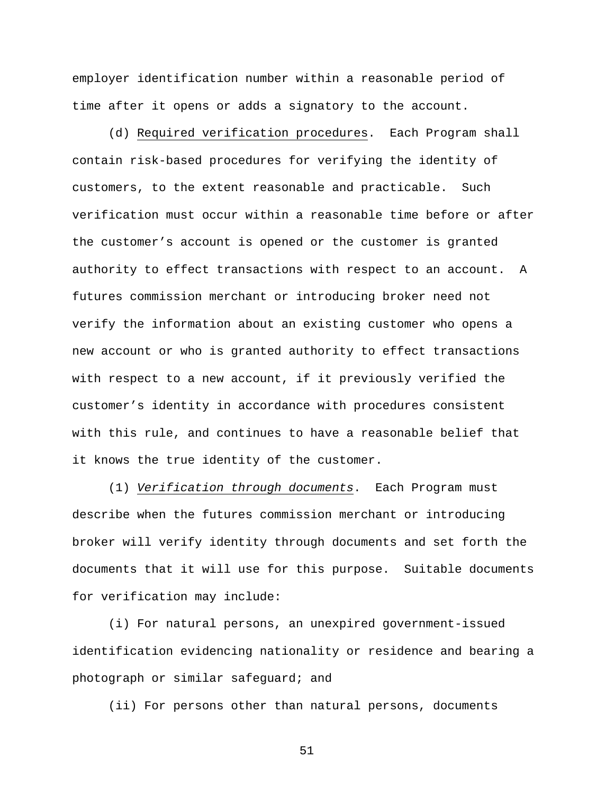employer identification number within a reasonable period of time after it opens or adds a signatory to the account.

(d) Required verification procedures. Each Program shall contain risk-based procedures for verifying the identity of customers, to the extent reasonable and practicable. Such verification must occur within a reasonable time before or after the customer's account is opened or the customer is granted authority to effect transactions with respect to an account. A futures commission merchant or introducing broker need not verify the information about an existing customer who opens a new account or who is granted authority to effect transactions with respect to a new account, if it previously verified the customer's identity in accordance with procedures consistent with this rule, and continues to have a reasonable belief that it knows the true identity of the customer.

(1) Verification through documents. Each Program must describe when the futures commission merchant or introducing broker will verify identity through documents and set forth the documents that it will use for this purpose. Suitable documents for verification may include:

(i) For natural persons, an unexpired government-issued identification evidencing nationality or residence and bearing a photograph or similar safeguard; and

(ii) For persons other than natural persons, documents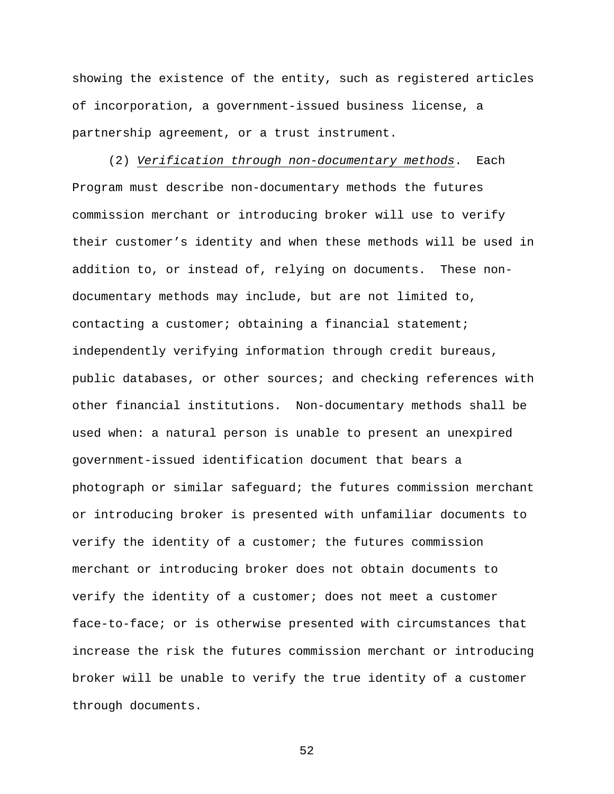showing the existence of the entity, such as registered articles of incorporation, a government-issued business license, a partnership agreement, or a trust instrument.

(2) Verification through non-documentary methods. Each Program must describe non-documentary methods the futures commission merchant or introducing broker will use to verify their customer's identity and when these methods will be used in addition to, or instead of, relying on documents. These nondocumentary methods may include, but are not limited to, contacting a customer; obtaining a financial statement; independently verifying information through credit bureaus, public databases, or other sources; and checking references with other financial institutions. Non-documentary methods shall be used when: a natural person is unable to present an unexpired government-issued identification document that bears a photograph or similar safeguard; the futures commission merchant or introducing broker is presented with unfamiliar documents to verify the identity of a customer; the futures commission merchant or introducing broker does not obtain documents to verify the identity of a customer; does not meet a customer face-to-face; or is otherwise presented with circumstances that increase the risk the futures commission merchant or introducing broker will be unable to verify the true identity of a customer through documents.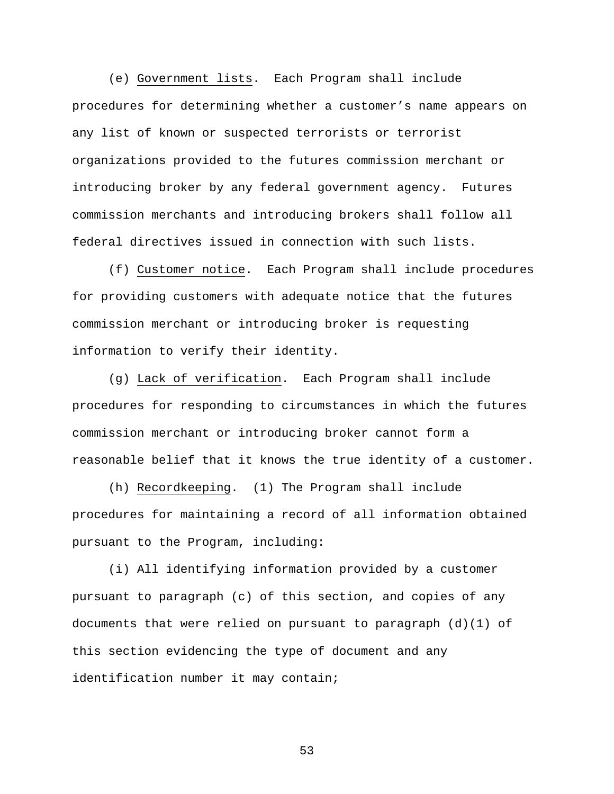(e) Government lists. Each Program shall include procedures for determining whether a customer's name appears on any list of known or suspected terrorists or terrorist organizations provided to the futures commission merchant or introducing broker by any federal government agency. Futures commission merchants and introducing brokers shall follow all federal directives issued in connection with such lists.

(f) Customer notice. Each Program shall include procedures for providing customers with adequate notice that the futures commission merchant or introducing broker is requesting information to verify their identity.

(g) Lack of verification. Each Program shall include procedures for responding to circumstances in which the futures commission merchant or introducing broker cannot form a reasonable belief that it knows the true identity of a customer.

(h) Recordkeeping. (1) The Program shall include procedures for maintaining a record of all information obtained pursuant to the Program, including:

(i) All identifying information provided by a customer pursuant to paragraph (c) of this section, and copies of any documents that were relied on pursuant to paragraph  $(d)(1)$  of this section evidencing the type of document and any identification number it may contain;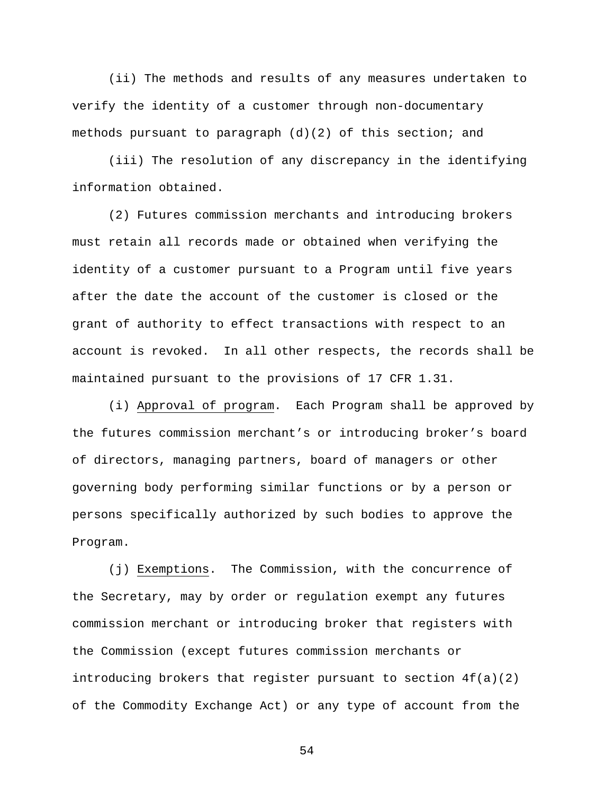(ii) The methods and results of any measures undertaken to verify the identity of a customer through non-documentary methods pursuant to paragraph (d)(2) of this section; and

(iii) The resolution of any discrepancy in the identifying information obtained.

(2) Futures commission merchants and introducing brokers must retain all records made or obtained when verifying the identity of a customer pursuant to a Program until five years after the date the account of the customer is closed or the grant of authority to effect transactions with respect to an account is revoked. In all other respects, the records shall be maintained pursuant to the provisions of 17 CFR 1.31.

(i) Approval of program. Each Program shall be approved by the futures commission merchant's or introducing broker's board of directors, managing partners, board of managers or other governing body performing similar functions or by a person or persons specifically authorized by such bodies to approve the Program.

(j) Exemptions. The Commission, with the concurrence of the Secretary, may by order or regulation exempt any futures commission merchant or introducing broker that registers with the Commission (except futures commission merchants or introducing brokers that register pursuant to section 4f(a)(2) of the Commodity Exchange Act) or any type of account from the